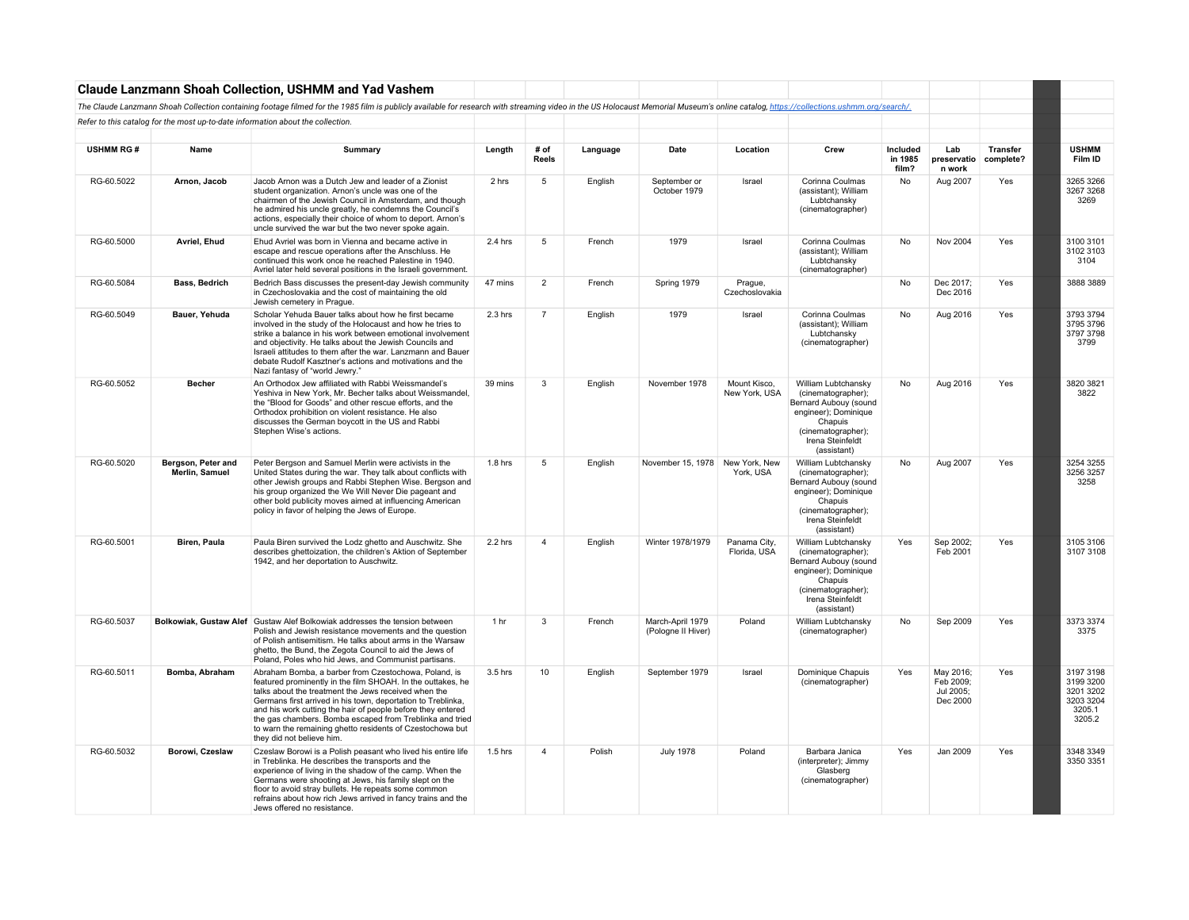|                  |                                      | <b>Claude Lanzmann Shoah Collection, USHMM and Yad Vashem</b>                                                                                                                                                                                                                                                                                                                                                                                                    |                 |                         |          |                                        |                               |                                                                                                                                                                |                              |                                                 |                              |                                                                      |
|------------------|--------------------------------------|------------------------------------------------------------------------------------------------------------------------------------------------------------------------------------------------------------------------------------------------------------------------------------------------------------------------------------------------------------------------------------------------------------------------------------------------------------------|-----------------|-------------------------|----------|----------------------------------------|-------------------------------|----------------------------------------------------------------------------------------------------------------------------------------------------------------|------------------------------|-------------------------------------------------|------------------------------|----------------------------------------------------------------------|
|                  |                                      | The Claude Lanzmann Shoah Collection containing footage filmed for the 1985 film is publicly available for research with streaming video in the US Holocaust Memorial Museum's online catalog, https://collections.ushmm.org/s                                                                                                                                                                                                                                   |                 |                         |          |                                        |                               |                                                                                                                                                                |                              |                                                 |                              |                                                                      |
|                  |                                      | Refer to this catalog for the most up-to-date information about the collection.                                                                                                                                                                                                                                                                                                                                                                                  |                 |                         |          |                                        |                               |                                                                                                                                                                |                              |                                                 |                              |                                                                      |
|                  |                                      |                                                                                                                                                                                                                                                                                                                                                                                                                                                                  |                 |                         |          |                                        |                               |                                                                                                                                                                |                              |                                                 |                              |                                                                      |
| <b>USHMM RG#</b> | Name                                 | Summarv                                                                                                                                                                                                                                                                                                                                                                                                                                                          | Length          | # of<br>Reels           | Language | Date                                   | Location                      | Crew                                                                                                                                                           | Included<br>in 1985<br>film? | Lab<br>preservatio<br>n work                    | <b>Transfer</b><br>complete? | <b>USHMM</b><br>Film ID                                              |
| RG-60.5022       | Arnon. Jacob                         | Jacob Arnon was a Dutch Jew and leader of a Zionist<br>student organization. Arnon's uncle was one of the<br>chairmen of the Jewish Council in Amsterdam, and though<br>he admired his uncle greatly, he condemns the Council's<br>actions, especially their choice of whom to deport. Arnon's<br>uncle survived the war but the two never spoke again.                                                                                                          | 2 hrs           | 5                       | English  | September or<br>October 1979           | Israel                        | Corinna Coulmas<br>(assistant); William<br>Lubtchansky<br>(cinematographer)                                                                                    | No                           | Aug 2007                                        | Yes                          | 3265 3266<br>3267 3268<br>3269                                       |
| RG-60.5000       | Avriel, Ehud                         | Ehud Avriel was born in Vienna and became active in<br>escape and rescue operations after the Anschluss. He<br>continued this work once he reached Palestine in 1940.<br>Avriel later held several positions in the Israeli government.                                                                                                                                                                                                                          | 2.4 hrs         | 5                       | French   | 1979                                   | Israel                        | Corinna Coulmas<br>(assistant); William<br>Lubtchansky<br>(cinematographer)                                                                                    | <b>No</b>                    | Nov 2004                                        | Yes                          | 3100 3101<br>3102 3103<br>3104                                       |
| RG-60.5084       | Bass, Bedrich                        | Bedrich Bass discusses the present-day Jewish community<br>in Czechoslovakia and the cost of maintaining the old<br>Jewish cemetery in Prague.                                                                                                                                                                                                                                                                                                                   | 47 mins         | $\overline{2}$          | French   | Spring 1979                            | Prague,<br>Czechoslovakia     |                                                                                                                                                                | No                           | Dec 2017;<br>Dec 2016                           | Yes                          | 3888 3889                                                            |
| RG-60.5049       | Bauer, Yehuda                        | Scholar Yehuda Bauer talks about how he first became<br>involved in the study of the Holocaust and how he tries to<br>strike a balance in his work between emotional involvement<br>and objectivity. He talks about the Jewish Councils and<br>Israeli attitudes to them after the war. Lanzmann and Bauer<br>debate Rudolf Kasztner's actions and motivations and the<br>Nazi fantasy of "world Jewry."                                                         | $2.3$ hrs       | $\overline{7}$          | English  | 1979                                   | Israel                        | Corinna Coulmas<br>(assistant); William<br>Lubtchansky<br>(cinematographer)                                                                                    | No                           | Aug 2016                                        | Yes                          | 3793 3794<br>3795 3796<br>3797 3798<br>3799                          |
| RG-60.5052       | <b>Becher</b>                        | An Orthodox Jew affiliated with Rabbi Weissmandel's<br>Yeshiva in New York, Mr. Becher talks about Weissmandel,<br>the "Blood for Goods" and other rescue efforts, and the<br>Orthodox prohibition on violent resistance. He also<br>discusses the German boycott in the US and Rabbi<br>Stephen Wise's actions.                                                                                                                                                 | 39 mins         | 3                       | English  | November 1978                          | Mount Kisco.<br>New York, USA | William Lubtchansky<br>(cinematographer);<br>Bernard Aubouy (sound<br>engineer); Dominique<br>Chapuis<br>(cinematographer);<br>Irena Steinfeldt<br>(assistant) | No                           | Aug 2016                                        | Yes                          | 3820 3821<br>3822                                                    |
| RG-60.5020       | Bergson, Peter and<br>Merlin, Samuel | Peter Bergson and Samuel Merlin were activists in the<br>United States during the war. They talk about conflicts with<br>other Jewish groups and Rabbi Stephen Wise. Bergson and<br>his group organized the We Will Never Die pageant and<br>other bold publicity moves aimed at influencing American<br>policy in favor of helping the Jews of Europe.                                                                                                          | $1.8$ hrs       | 5                       | English  | November 15, 1978 New York, New        | York, USA                     | William Lubtchansky<br>(cinematographer);<br>Bernard Aubouy (sound<br>engineer); Dominique<br>Chapuis<br>(cinematographer);<br>Irena Steinfeldt<br>(assistant) | No                           | Aug 2007                                        | Yes                          | 3254 3255<br>3256 3257<br>3258                                       |
| RG-60,5001       | Biren, Paula                         | Paula Biren survived the Lodz ghetto and Auschwitz. She<br>describes ghettoization, the children's Aktion of September<br>1942, and her deportation to Auschwitz.                                                                                                                                                                                                                                                                                                | 2.2 hrs         | $\overline{\mathbf{A}}$ | English  | Winter 1978/1979                       | Panama City.<br>Florida, USA  | William Lubtchansky<br>(cinematographer);<br>Bernard Aubouy (sound<br>engineer); Dominique<br>Chapuis<br>(cinematographer);<br>Irena Steinfeldt<br>(assistant) | Yes                          | Sep 2002:<br>Feb 2001                           | Yes                          | 3105 3106<br>3107 3108                                               |
| RG-60,5037       |                                      | Bolkowiak, Gustaw Alef   Gustaw Alef Bolkowiak addresses the tension between<br>Polish and Jewish resistance movements and the question<br>of Polish antisemitism. He talks about arms in the Warsaw<br>ghetto, the Bund, the Zegota Council to aid the Jews of<br>Poland, Poles who hid Jews, and Communist partisans.                                                                                                                                          | 1 <sub>hr</sub> | 3                       | French   | March-April 1979<br>(Pologne II Hiver) | Poland                        | William Lubtchansky<br>(cinematographer)                                                                                                                       | No                           | Sep 2009                                        | Yes                          | 3373 3374<br>3375                                                    |
| RG-60.5011       | Bomba, Abraham                       | Abraham Bomba, a barber from Czestochowa, Poland, is<br>featured prominently in the film SHOAH. In the outtakes, he<br>talks about the treatment the Jews received when the<br>Germans first arrived in his town, deportation to Treblinka,<br>and his work cutting the hair of people before they entered<br>the gas chambers. Bomba escaped from Treblinka and tried<br>to warn the remaining ghetto residents of Czestochowa but<br>they did not believe him. | 3.5 hrs         | 10                      | English  | September 1979                         | Israel                        | Dominique Chapuis<br>(cinematographer)                                                                                                                         | Yes                          | May 2016;<br>Feb 2009;<br>Jul 2005;<br>Dec 2000 | Yes                          | 3197 3198<br>3199 3200<br>3201 3202<br>3203 3204<br>3205.1<br>3205.2 |
| RG-60.5032       | Borowi, Czeslaw                      | Czeslaw Borowi is a Polish peasant who lived his entire life<br>in Treblinka. He describes the transports and the<br>experience of living in the shadow of the camp. When the<br>Germans were shooting at Jews, his family slept on the<br>floor to avoid stray bullets. He repeats some common<br>refrains about how rich Jews arrived in fancy trains and the<br>Jews offered no resistance.                                                                   | $1.5$ hrs       | $\overline{4}$          | Polish   | <b>July 1978</b>                       | Poland                        | Barbara Janica<br>(interpreter); Jimmy<br>Glasberg<br>(cinematographer)                                                                                        | Yes                          | Jan 2009                                        | Yes                          | 3348 3349<br>3350 3351                                               |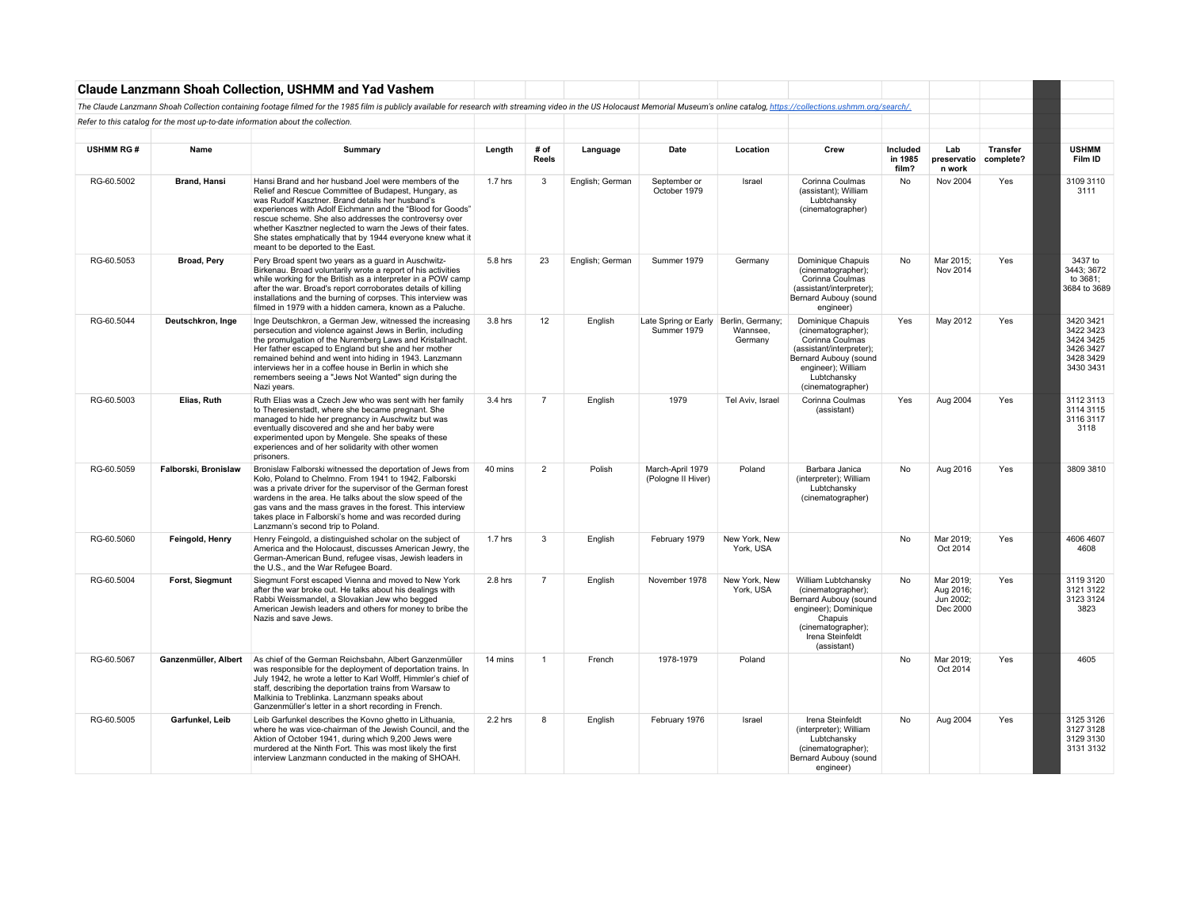|                  |                      | <b>Claude Lanzmann Shoah Collection, USHMM and Yad Vashem</b>                                                                                                                                                                                                                                                                                                                                                                                             |           |                      |                 |                                                      |                            |                                                                                                                                                                           |                              |                                                 |                              |                                                                            |
|------------------|----------------------|-----------------------------------------------------------------------------------------------------------------------------------------------------------------------------------------------------------------------------------------------------------------------------------------------------------------------------------------------------------------------------------------------------------------------------------------------------------|-----------|----------------------|-----------------|------------------------------------------------------|----------------------------|---------------------------------------------------------------------------------------------------------------------------------------------------------------------------|------------------------------|-------------------------------------------------|------------------------------|----------------------------------------------------------------------------|
|                  |                      | The Claude Lanzmann Shoah Collection containing footage filmed for the 1985 film is publicly available for research with streaming video in the US Holocaust Memorial Museum's online catalog, https://collections.ushmm.org/s                                                                                                                                                                                                                            |           |                      |                 |                                                      |                            |                                                                                                                                                                           |                              |                                                 |                              |                                                                            |
|                  |                      | Refer to this catalog for the most up-to-date information about the collection.                                                                                                                                                                                                                                                                                                                                                                           |           |                      |                 |                                                      |                            |                                                                                                                                                                           |                              |                                                 |                              |                                                                            |
|                  |                      |                                                                                                                                                                                                                                                                                                                                                                                                                                                           |           |                      |                 |                                                      |                            |                                                                                                                                                                           |                              |                                                 |                              |                                                                            |
| <b>USHMM RG#</b> | Name                 | Summary                                                                                                                                                                                                                                                                                                                                                                                                                                                   | Length    | # of<br><b>Reels</b> | Language        | Date                                                 | Location                   | Crew                                                                                                                                                                      | Included<br>in 1985<br>film? | Lab<br>preservatio<br>n work                    | <b>Transfer</b><br>complete? | <b>USHMM</b><br>Film ID                                                    |
| RG-60.5002       | <b>Brand, Hansi</b>  | Hansi Brand and her husband Joel were members of the<br>Relief and Rescue Committee of Budapest, Hungary, as<br>was Rudolf Kasztner. Brand details her husband's<br>experiences with Adolf Eichmann and the "Blood for Goods"<br>rescue scheme. She also addresses the controversy over<br>whether Kasztner neglected to warn the Jews of their fates.<br>She states emphatically that by 1944 everyone knew what it<br>meant to be deported to the East. | 1.7 hrs   | 3                    | English; German | September or<br>October 1979                         | Israel                     | Corinna Coulmas<br>(assistant); William<br>Lubtchansky<br>(cinematographer)                                                                                               | No                           | Nov 2004                                        | Yes                          | 3109 3110<br>3111                                                          |
| RG-60.5053       | Broad, Pery          | Pery Broad spent two years as a quard in Auschwitz-<br>Birkenau. Broad voluntarily wrote a report of his activities<br>while working for the British as a interpreter in a POW camp<br>after the war. Broad's report corroborates details of killing<br>installations and the burning of corpses. This interview was<br>filmed in 1979 with a hidden camera, known as a Paluche.                                                                          | 5.8 hrs   | 23                   | English; German | Summer 1979                                          | Germany                    | Dominique Chapuis<br>(cinematographer);<br>Corinna Coulmas<br>(assistant/interpreter);<br>Bernard Aubouv (sound<br>engineer)                                              | No                           | Mar 2015;<br>Nov 2014                           | Yes                          | 3437 to<br>3443; 3672<br>to 3681:<br>3684 to 3689                          |
| RG-60.5044       | Deutschkron, Inge    | Inge Deutschkron, a German Jew, witnessed the increasing<br>persecution and violence against Jews in Berlin, including<br>the promulgation of the Nuremberg Laws and Kristallnacht.<br>Her father escaped to England but she and her mother<br>remained behind and went into hiding in 1943. Lanzmann<br>interviews her in a coffee house in Berlin in which she<br>remembers seeing a "Jews Not Wanted" sign during the<br>Nazi years.                   | 3.8 hrs   | 12                   | English         | Late Spring or Early Berlin, Germany;<br>Summer 1979 | Wannsee,<br>Germany        | Dominique Chapuis<br>(cinematographer);<br>Corinna Coulmas<br>(assistant/interpreter);<br>Bernard Aubouy (sound<br>engineer): William<br>Lubtchansky<br>(cinematographer) | Yes                          | May 2012                                        | Yes                          | 3420 3421<br>3422 3423<br>3424 3425<br>3426 3427<br>3428 3429<br>3430 3431 |
| RG-60.5003       | Elias, Ruth          | Ruth Elias was a Czech Jew who was sent with her family<br>to Theresienstadt, where she became pregnant. She<br>managed to hide her pregnancy in Auschwitz but was<br>eventually discovered and she and her baby were<br>experimented upon by Mengele. She speaks of these<br>experiences and of her solidarity with other women<br>prisoners.                                                                                                            | 3.4 hrs   | $\overline{7}$       | English         | 1979                                                 | Tel Aviv, Israel           | Corinna Coulmas<br>(assistant)                                                                                                                                            | Yes                          | Aug 2004                                        | Yes                          | 3112 3113<br>3114 3115<br>3116 3117<br>3118                                |
| RG-60.5059       | Falborski, Bronislaw | Bronislaw Falborski witnessed the deportation of Jews from<br>Koło, Poland to Chelmno. From 1941 to 1942, Falborski<br>was a private driver for the supervisor of the German forest<br>wardens in the area. He talks about the slow speed of the<br>gas vans and the mass graves in the forest. This interview<br>takes place in Falborski's home and was recorded during<br>Lanzmann's second trip to Poland.                                            | 40 mins   | $\overline{2}$       | Polish          | March-April 1979<br>(Pologne II Hiver)               | Poland                     | Barbara Janica<br>(interpreter); William<br>Lubtchansky<br>(cinematographer)                                                                                              | No                           | Aug 2016                                        | Yes                          | 3809 3810                                                                  |
| RG-60.5060       | Feingold, Henry      | Henry Feingold, a distinguished scholar on the subject of<br>America and the Holocaust, discusses American Jewry, the<br>German-American Bund, refugee visas, Jewish leaders in<br>the U.S., and the War Refugee Board.                                                                                                                                                                                                                                   | $1.7$ hrs | 3                    | English         | February 1979                                        | New York, New<br>York, USA |                                                                                                                                                                           | No                           | Mar 2019:<br>Oct 2014                           | Yes                          | 4606 4607<br>4608                                                          |
| RG-60.5004       | Forst, Siegmunt      | Siegmunt Forst escaped Vienna and moved to New York<br>after the war broke out. He talks about his dealings with<br>Rabbi Weissmandel, a Slovakian Jew who begged<br>American Jewish leaders and others for money to bribe the<br>Nazis and save Jews.                                                                                                                                                                                                    | 2.8 hrs   | $\overline{7}$       | English         | November 1978                                        | New York, New<br>York, USA | William Lubtchansky<br>(cinematographer);<br>Bernard Aubouy (sound<br>engineer); Dominique<br>Chapuis<br>(cinematographer);<br>Irena Steinfeldt<br>(assistant)            | No                           | Mar 2019;<br>Aug 2016;<br>Jun 2002;<br>Dec 2000 | Yes                          | 3119 3120<br>3121 3122<br>3123 3124<br>3823                                |
| RG-60.5067       | Ganzenmüller, Albert | As chief of the German Reichsbahn, Albert Ganzenmüller<br>was responsible for the deployment of deportation trains. In<br>July 1942, he wrote a letter to Karl Wolff, Himmler's chief of<br>staff, describing the deportation trains from Warsaw to<br>Malkinia to Treblinka. Lanzmann speaks about<br>Ganzenmüller's letter in a short recording in French.                                                                                              | 14 mins   | $\overline{1}$       | French          | 1978-1979                                            | Poland                     |                                                                                                                                                                           | No                           | Mar 2019:<br>Oct 2014                           | Yes                          | 4605                                                                       |
| RG-60.5005       | Garfunkel, Leib      | Leib Garfunkel describes the Kovno ghetto in Lithuania,<br>where he was vice-chairman of the Jewish Council, and the<br>Aktion of October 1941, during which 9,200 Jews were<br>murdered at the Ninth Fort. This was most likely the first<br>interview Lanzmann conducted in the making of SHOAH.                                                                                                                                                        | 2.2 hrs   | 8                    | English         | February 1976                                        | Israel                     | Irena Steinfeldt<br>(interpreter); William<br>Lubtchansky<br>(cinematographer);<br>Bernard Aubouy (sound<br>engineer)                                                     | No                           | Aug 2004                                        | Yes                          | 3125 3126<br>3127 3128<br>3129 3130<br>3131 3132                           |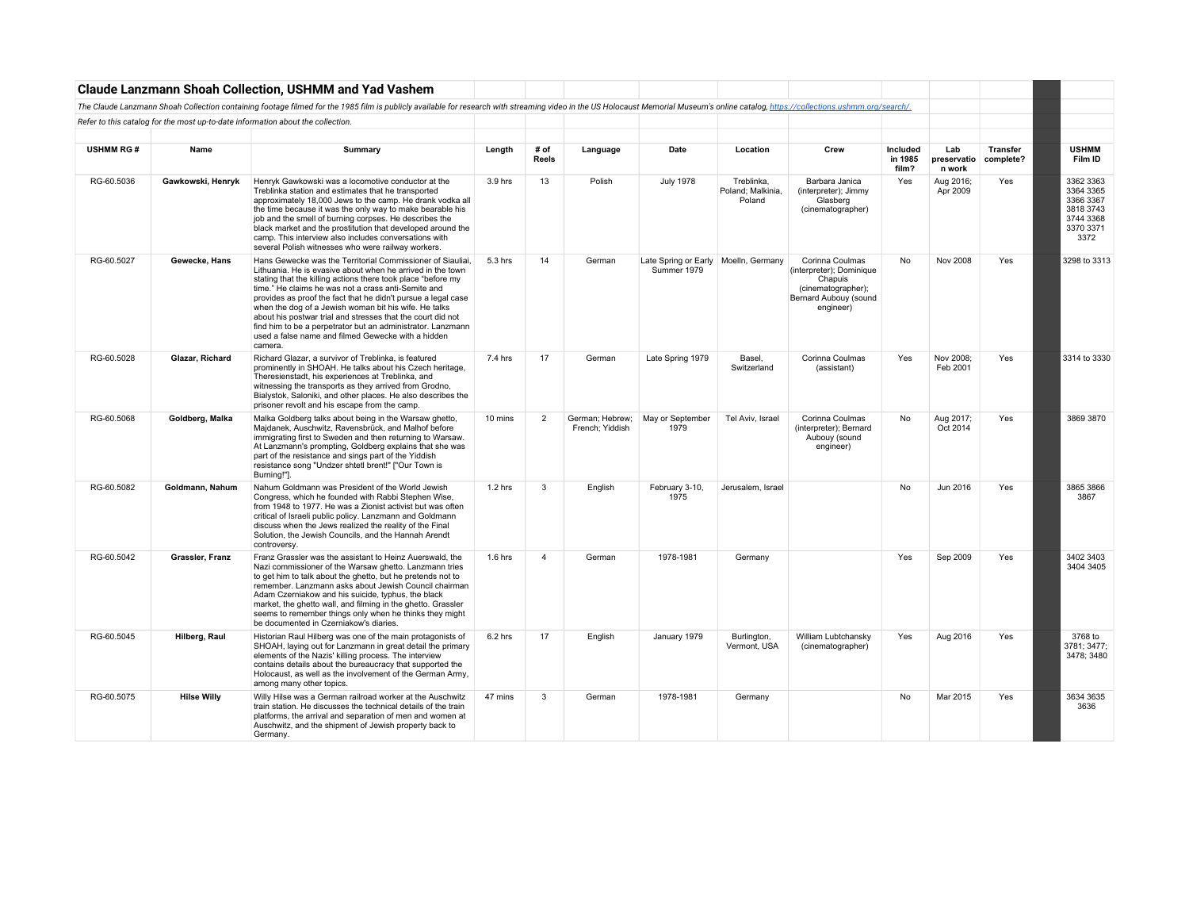|                  |                    | <b>Claude Lanzmann Shoah Collection, USHMM and Yad Vashem</b>                                                                                                                                                                                                                                                                                                                                                                                                                                                                                                            |           |                |                                    |                                                       |                                           |                                                                                                                    |                              |                              |                              |                                                                                    |
|------------------|--------------------|--------------------------------------------------------------------------------------------------------------------------------------------------------------------------------------------------------------------------------------------------------------------------------------------------------------------------------------------------------------------------------------------------------------------------------------------------------------------------------------------------------------------------------------------------------------------------|-----------|----------------|------------------------------------|-------------------------------------------------------|-------------------------------------------|--------------------------------------------------------------------------------------------------------------------|------------------------------|------------------------------|------------------------------|------------------------------------------------------------------------------------|
|                  |                    | The Claude Lanzmann Shoah Collection containing footage filmed for the 1985 film is publicly available for research with streaming video in the US Holocaust Memorial Museum's online catalog, https://collections.ushmm.org/s                                                                                                                                                                                                                                                                                                                                           |           |                |                                    |                                                       |                                           |                                                                                                                    |                              |                              |                              |                                                                                    |
|                  |                    | Refer to this catalog for the most up-to-date information about the collection.                                                                                                                                                                                                                                                                                                                                                                                                                                                                                          |           |                |                                    |                                                       |                                           |                                                                                                                    |                              |                              |                              |                                                                                    |
| <b>USHMM RG#</b> | Name               | Summary                                                                                                                                                                                                                                                                                                                                                                                                                                                                                                                                                                  | Length    | # of<br>Reels  | Language                           | Date                                                  | Location                                  | Crew                                                                                                               | Included<br>in 1985<br>film? | Lab<br>preservatio<br>n work | <b>Transfer</b><br>complete? | <b>USHMM</b><br>Film ID                                                            |
| RG-60.5036       | Gawkowski, Henryk  | Henryk Gawkowski was a locomotive conductor at the<br>Treblinka station and estimates that he transported<br>approximately 18,000 Jews to the camp. He drank vodka all<br>the time because it was the only way to make bearable his<br>job and the smell of burning corpses. He describes the<br>black market and the prostitution that developed around the<br>camp. This interview also includes conversations with<br>several Polish witnesses who were railway workers.                                                                                              | 3.9 hrs   | 13             | Polish                             | <b>July 1978</b>                                      | Treblinka.<br>Poland: Malkinia.<br>Poland | Barbara Janica<br>(interpreter): Jimmy<br>Glasberg<br>(cinematographer)                                            | Yes                          | Aug 2016;<br>Apr 2009        | Yes                          | 3362 3363<br>3364 3365<br>3366 3367<br>3818 3743<br>3744 3368<br>3370 3371<br>3372 |
| RG-60.5027       | Gewecke, Hans      | Hans Gewecke was the Territorial Commissioner of Siauliai,<br>Lithuania. He is evasive about when he arrived in the town<br>stating that the killing actions there took place "before my<br>time." He claims he was not a crass anti-Semite and<br>provides as proof the fact that he didn't pursue a legal case<br>when the dog of a Jewish woman bit his wife. He talks<br>about his postwar trial and stresses that the court did not<br>find him to be a perpetrator but an administrator. Lanzmann<br>used a false name and filmed Gewecke with a hidden<br>camera. | 5.3 hrs   | 14             | German                             | Late Spring or Early   Moelln, Germany<br>Summer 1979 |                                           | Corinna Coulmas<br>(interpreter); Dominique<br>Chapuis<br>(cinematographer):<br>Bernard Aubouy (sound<br>engineer) | No                           | <b>Nov 2008</b>              | Yes                          | 3298 to 3313                                                                       |
| RG-60.5028       | Glazar, Richard    | Richard Glazar, a survivor of Treblinka, is featured<br>prominently in SHOAH. He talks about his Czech heritage,<br>Theresienstadt, his experiences at Treblinka, and<br>witnessing the transports as they arrived from Grodno,<br>Bialystok, Saloniki, and other places. He also describes the<br>prisoner revolt and his escape from the camp.                                                                                                                                                                                                                         | 7.4 hrs   | 17             | German                             | Late Spring 1979                                      | Basel.<br>Switzerland                     | Corinna Coulmas<br>(assistant)                                                                                     | Yes                          | Nov 2008:<br>Feb 2001        | Yes                          | 3314 to 3330                                                                       |
| RG-60.5068       | Goldberg, Malka    | Malka Goldberg talks about being in the Warsaw ghetto,<br>Majdanek, Auschwitz, Ravensbrück, and Malhof before<br>immigrating first to Sweden and then returning to Warsaw.<br>At Lanzmann's prompting, Goldberg explains that she was<br>part of the resistance and sings part of the Yiddish<br>resistance song "Undzer shtetl brent!" ["Our Town is<br>Burning!"].                                                                                                                                                                                                     | 10 mins   | $\overline{2}$ | German: Hebrew:<br>French; Yiddish | May or September<br>1979                              | Tel Aviv, Israel                          | Corinna Coulmas<br>(interpreter); Bernard<br>Aubouy (sound<br>engineer)                                            | No                           | Aug 2017;<br>Oct 2014        | Yes                          | 3869 3870                                                                          |
| RG-60.5082       | Goldmann, Nahum    | Nahum Goldmann was President of the World Jewish<br>Congress, which he founded with Rabbi Stephen Wise,<br>from 1948 to 1977. He was a Zionist activist but was often<br>critical of Israeli public policy. Lanzmann and Goldmann<br>discuss when the Jews realized the reality of the Final<br>Solution, the Jewish Councils, and the Hannah Arendt<br>controversy.                                                                                                                                                                                                     | $1.2$ hrs | $\mathcal{R}$  | English                            | February 3-10,<br>1975                                | Jerusalem, Israel                         |                                                                                                                    | <b>No</b>                    | Jun 2016                     | Yes                          | 3865 3866<br>3867                                                                  |
| RG-60.5042       | Grassler, Franz    | Franz Grassler was the assistant to Heinz Auerswald, the<br>Nazi commissioner of the Warsaw ghetto. Lanzmann tries<br>to get him to talk about the ghetto, but he pretends not to<br>remember. Lanzmann asks about Jewish Council chairman<br>Adam Czerniakow and his suicide, typhus, the black<br>market, the ghetto wall, and filming in the ghetto. Grassler<br>seems to remember things only when he thinks they might<br>be documented in Czerniakow's diaries.                                                                                                    | $1.6$ hrs | $\overline{4}$ | German                             | 1978-1981                                             | Germany                                   |                                                                                                                    | Yes                          | Sep 2009                     | Yes                          | 3402 3403<br>3404 3405                                                             |
| RG-60.5045       | Hilberg, Raul      | Historian Raul Hilberg was one of the main protagonists of<br>SHOAH, laying out for Lanzmann in great detail the primary<br>elements of the Nazis' killing process. The interview<br>contains details about the bureaucracy that supported the<br>Holocaust, as well as the involvement of the German Army,<br>among many other topics.                                                                                                                                                                                                                                  | 6.2 hrs   | 17             | English                            | January 1979                                          | Burlington,<br>Vermont, USA               | William Lubtchansky<br>(cinematographer)                                                                           | Yes                          | Aug 2016                     | Yes                          | 3768 to<br>3781: 3477:<br>3478; 3480                                               |
| RG-60.5075       | <b>Hilse Willy</b> | Willy Hilse was a German railroad worker at the Auschwitz<br>train station. He discusses the technical details of the train<br>platforms, the arrival and separation of men and women at<br>Auschwitz, and the shipment of Jewish property back to<br>Germany.                                                                                                                                                                                                                                                                                                           | 47 mins   | 3              | German                             | 1978-1981                                             | Germany                                   |                                                                                                                    | No                           | Mar 2015                     | Yes                          | 3634 3635<br>3636                                                                  |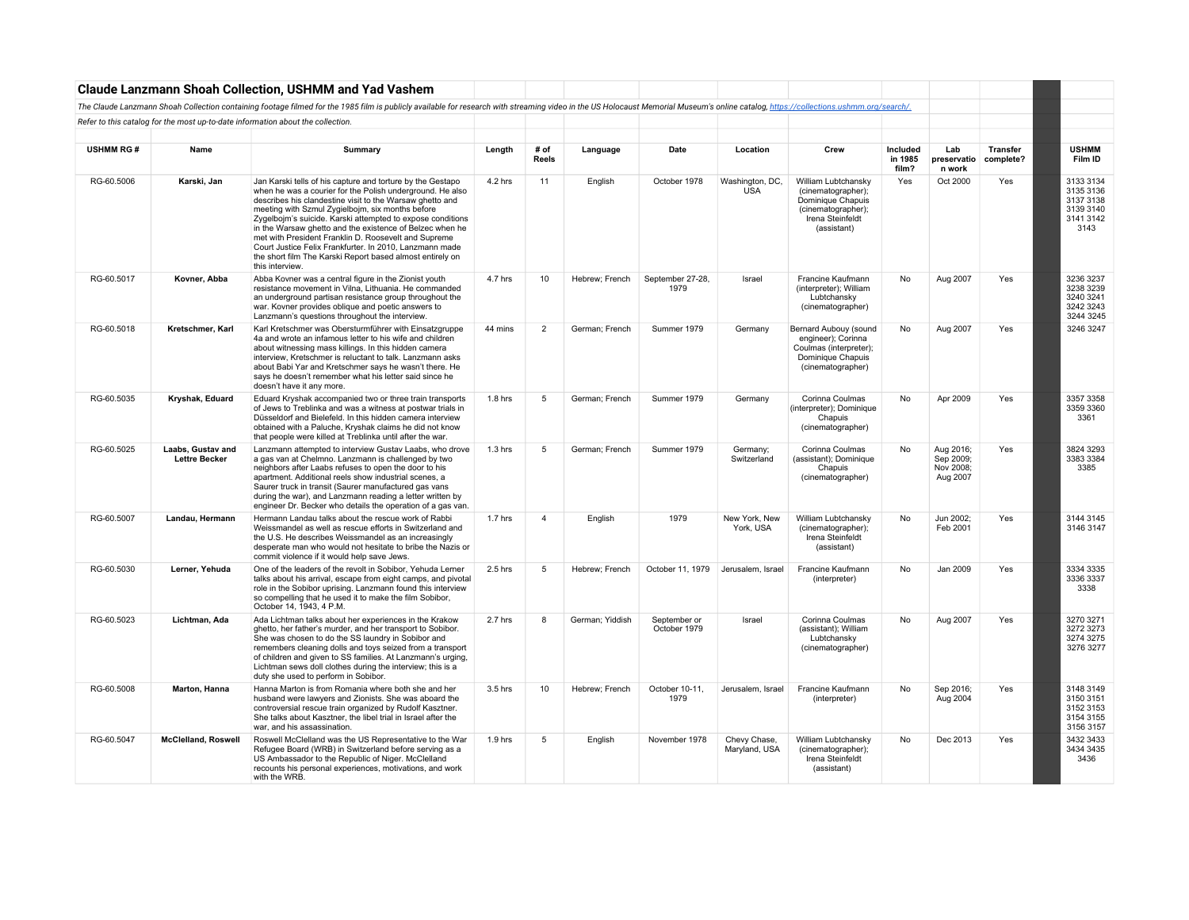|                  |                                           | <b>Claude Lanzmann Shoah Collection, USHMM and Yad Vashem</b>                                                                                                                                                                                                                                                                                                                                                                                                                                                                                                        |           |                |                 |                              |                               |                                                                                                                         |                              |                                                 |                              |                                                                       |
|------------------|-------------------------------------------|----------------------------------------------------------------------------------------------------------------------------------------------------------------------------------------------------------------------------------------------------------------------------------------------------------------------------------------------------------------------------------------------------------------------------------------------------------------------------------------------------------------------------------------------------------------------|-----------|----------------|-----------------|------------------------------|-------------------------------|-------------------------------------------------------------------------------------------------------------------------|------------------------------|-------------------------------------------------|------------------------------|-----------------------------------------------------------------------|
|                  |                                           | The Claude Lanzmann Shoah Collection containing footage filmed for the 1985 film is publicly available for research with streaming video in the US Holocaust Memorial Museum's online catalog, https://collections.ushmm.org/s                                                                                                                                                                                                                                                                                                                                       |           |                |                 |                              |                               |                                                                                                                         |                              |                                                 |                              |                                                                       |
|                  |                                           | Refer to this catalog for the most up-to-date information about the collection.                                                                                                                                                                                                                                                                                                                                                                                                                                                                                      |           |                |                 |                              |                               |                                                                                                                         |                              |                                                 |                              |                                                                       |
|                  |                                           |                                                                                                                                                                                                                                                                                                                                                                                                                                                                                                                                                                      |           |                |                 |                              |                               |                                                                                                                         |                              |                                                 |                              |                                                                       |
| <b>USHMM RG#</b> | Name                                      | Summary                                                                                                                                                                                                                                                                                                                                                                                                                                                                                                                                                              | Length    | # of<br>Reels  | Language        | Date                         | Location                      | Crew                                                                                                                    | Included<br>in 1985<br>film? | Lab<br>preservatio<br>n work                    | <b>Transfer</b><br>complete? | <b>USHMM</b><br>Film ID                                               |
| RG-60,5006       | Karski, Jan                               | Jan Karski tells of his capture and torture by the Gestapo<br>when he was a courier for the Polish underground. He also<br>describes his clandestine visit to the Warsaw ghetto and<br>meeting with Szmul Zygielbojm, six months before<br>Zygelbojm's suicide. Karski attempted to expose conditions<br>in the Warsaw ghetto and the existence of Belzec when he<br>met with President Franklin D. Roosevelt and Supreme<br>Court Justice Felix Frankfurter. In 2010, Lanzmann made<br>the short film The Karski Report based almost entirely on<br>this interview. | 4.2 hrs   | 11             | English         | October 1978                 | Washington, DC.<br><b>USA</b> | William Lubtchansky<br>(cinematographer):<br>Dominique Chapuis<br>(cinematographer);<br>Irena Steinfeldt<br>(assistant) | Yes                          | Oct 2000                                        | Yes                          | 3133 3134<br>3135 3136<br>3137 3138<br>3139 3140<br>3141 3142<br>3143 |
| RG-60.5017       | Kovner, Abba                              | Abba Kovner was a central figure in the Zionist youth<br>resistance movement in Vilna. Lithuania. He commanded<br>an underground partisan resistance group throughout the<br>war. Kovner provides oblique and poetic answers to<br>Lanzmann's questions throughout the interview.                                                                                                                                                                                                                                                                                    | 4.7 hrs   | 10             | Hebrew; French  | September 27-28,<br>1979     | Israel                        | Francine Kaufmann<br>(interpreter): William<br>Lubtchansky<br>(cinematographer)                                         | No                           | Aug 2007                                        | Yes                          | 3236 3237<br>3238 3239<br>3240 3241<br>3242 3243<br>3244 3245         |
| RG-60.5018       | Kretschmer, Karl                          | Karl Kretschmer was Obersturmführer with Einsatzgruppe<br>4a and wrote an infamous letter to his wife and children<br>about witnessing mass killings. In this hidden camera<br>interview, Kretschmer is reluctant to talk. Lanzmann asks<br>about Babi Yar and Kretschmer says he wasn't there. He<br>says he doesn't remember what his letter said since he<br>doesn't have it any more.                                                                                                                                                                            | 44 mins   | $\overline{2}$ | German; French  | Summer 1979                  | Germany                       | Bernard Aubouy (sound<br>engineer); Corinna<br>Coulmas (interpreter);<br>Dominique Chapuis<br>(cinematographer)         | No                           | Aug 2007                                        | Yes                          | 3246 3247                                                             |
| RG-60.5035       | Kryshak, Eduard                           | Eduard Kryshak accompanied two or three train transports<br>of Jews to Treblinka and was a witness at postwar trials in<br>Düsseldorf and Bielefeld. In this hidden camera interview<br>obtained with a Paluche, Kryshak claims he did not know<br>that people were killed at Treblinka until after the war.                                                                                                                                                                                                                                                         | 1.8 hrs   | 5              | German; French  | Summer 1979                  | Germany                       | Corinna Coulmas<br>(interpreter): Dominique<br>Chapuis<br>(cinematographer)                                             | No                           | Apr 2009                                        | Yes                          | 3357 3358<br>3359 3360<br>3361                                        |
| RG-60.5025       | Laabs, Gustav and<br><b>Lettre Becker</b> | Lanzmann attempted to interview Gustav Laabs, who drove<br>a gas van at Chelmno. Lanzmann is challenged by two<br>neighbors after Laabs refuses to open the door to his<br>apartment. Additional reels show industrial scenes, a<br>Saurer truck in transit (Saurer manufactured gas vans<br>during the war), and Lanzmann reading a letter written by<br>engineer Dr. Becker who details the operation of a gas van.                                                                                                                                                | $1.3$ hrs | 5              | German; French  | Summer 1979                  | Germany;<br>Switzerland       | Corinna Coulmas<br>(assistant); Dominique<br>Chapuis<br>(cinematographer)                                               | No                           | Aug 2016;<br>Sep 2009;<br>Nov 2008;<br>Aug 2007 | Yes                          | 3824 3293<br>3383 3384<br>3385                                        |
| RG-60.5007       | Landau, Hermann                           | Hermann Landau talks about the rescue work of Rabbi<br>Weissmandel as well as rescue efforts in Switzerland and<br>the U.S. He describes Weissmandel as an increasingly<br>desperate man who would not hesitate to bribe the Nazis or<br>commit violence if it would help save Jews.                                                                                                                                                                                                                                                                                 | 1.7 hrs   | 4              | English         | 1979                         | New York, New<br>York, USA    | William Lubtchansky<br>(cinematographer);<br>Irena Steinfeldt<br>(assistant)                                            | No                           | Jun 2002;<br>Feb 2001                           | Yes                          | 3144 3145<br>3146 3147                                                |
| RG-60.5030       | Lerner, Yehuda                            | One of the leaders of the revolt in Sobibor, Yehuda Lerner<br>talks about his arrival, escape from eight camps, and pivotal<br>role in the Sobibor uprising. Lanzmann found this interview<br>so compelling that he used it to make the film Sobibor.<br>October 14, 1943, 4 P.M.                                                                                                                                                                                                                                                                                    | 2.5 hrs   | 5              | Hebrew; French  | October 11, 1979             | Jerusalem, Israel             | Francine Kaufmann<br>(interpreter)                                                                                      | No                           | Jan 2009                                        | Yes                          | 3334 3335<br>3336 3337<br>3338                                        |
| RG-60.5023       | Lichtman, Ada                             | Ada Lichtman talks about her experiences in the Krakow<br>ghetto, her father's murder, and her transport to Sobibor.<br>She was chosen to do the SS laundry in Sobibor and<br>remembers cleaning dolls and toys seized from a transport<br>of children and given to SS families. At Lanzmann's urging,<br>Lichtman sews doll clothes during the interview; this is a<br>duty she used to perform in Sobibor.                                                                                                                                                         | 2.7 hrs   | 8              | German; Yiddish | September or<br>October 1979 | Israel                        | Corinna Coulmas<br>(assistant); William<br>Lubtchansky<br>(cinematographer)                                             | No                           | Aug 2007                                        | Yes                          | 3270 3271<br>3272 3273<br>3274 3275<br>3276 3277                      |
| RG-60.5008       | Marton, Hanna                             | Hanna Marton is from Romania where both she and her<br>husband were lawyers and Zionists. She was aboard the<br>controversial rescue train organized by Rudolf Kasztner.<br>She talks about Kasztner, the libel trial in Israel after the<br>war, and his assassination.                                                                                                                                                                                                                                                                                             | 3.5 hrs   | 10             | Hebrew; French  | October 10-11,<br>1979       | Jerusalem, Israel             | Francine Kaufmann<br>(interpreter)                                                                                      | No                           | Sep 2016;<br>Aug 2004                           | Yes                          | 3148 3149<br>3150 3151<br>3152 3153<br>3154 3155<br>3156 3157         |
| RG-60.5047       | <b>McClelland, Roswell</b>                | Roswell McClelland was the US Representative to the War<br>Refugee Board (WRB) in Switzerland before serving as a<br>US Ambassador to the Republic of Niger, McClelland<br>recounts his personal experiences, motivations, and work<br>with the WRB.                                                                                                                                                                                                                                                                                                                 | $1.9$ hrs | 5              | English         | November 1978                | Chevy Chase.<br>Maryland, USA | William Lubtchansky<br>(cinematographer);<br>Irena Steinfeldt<br>(assistant)                                            | No                           | Dec 2013                                        | Yes                          | 3432 3433<br>3434 3435<br>3436                                        |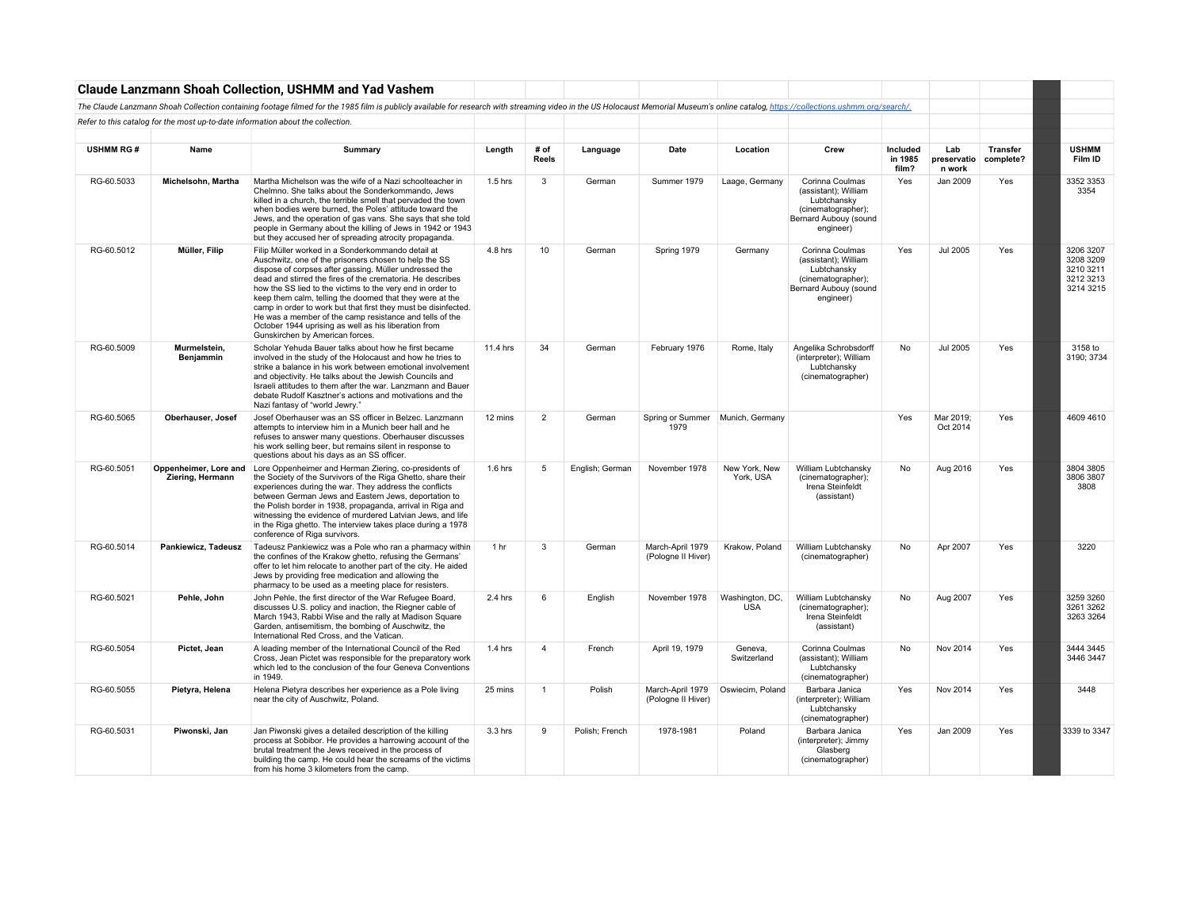|                  |                                           | <b>Claude Lanzmann Shoah Collection, USHMM and Yad Vashem</b>                                                                                                                                                                                                                                                                                                                                                                                                                                                                                                                        |                 |                  |                 |                                          |                               |                                                                                                                    |                              |                              |                              |                                                               |
|------------------|-------------------------------------------|--------------------------------------------------------------------------------------------------------------------------------------------------------------------------------------------------------------------------------------------------------------------------------------------------------------------------------------------------------------------------------------------------------------------------------------------------------------------------------------------------------------------------------------------------------------------------------------|-----------------|------------------|-----------------|------------------------------------------|-------------------------------|--------------------------------------------------------------------------------------------------------------------|------------------------------|------------------------------|------------------------------|---------------------------------------------------------------|
|                  |                                           | The Claude Lanzmann Shoah Collection containing footage filmed for the 1985 film is publicly available for research with streaming video in the US Holocaust Memorial Museum's online catalog, https://collections.ushmm.org/s                                                                                                                                                                                                                                                                                                                                                       |                 |                  |                 |                                          |                               |                                                                                                                    |                              |                              |                              |                                                               |
|                  |                                           | Refer to this catalog for the most up-to-date information about the collection.                                                                                                                                                                                                                                                                                                                                                                                                                                                                                                      |                 |                  |                 |                                          |                               |                                                                                                                    |                              |                              |                              |                                                               |
|                  |                                           |                                                                                                                                                                                                                                                                                                                                                                                                                                                                                                                                                                                      |                 |                  |                 |                                          |                               |                                                                                                                    |                              |                              |                              |                                                               |
| <b>USHMM RG#</b> | Name                                      | Summary                                                                                                                                                                                                                                                                                                                                                                                                                                                                                                                                                                              | Length          | # of<br>Reels    | Language        | Date                                     | Location                      | Crew                                                                                                               | Included<br>in 1985<br>film? | Lab<br>preservatio<br>n work | <b>Transfer</b><br>complete? | <b>USHMM</b><br>Film ID                                       |
| RG-60.5033       | Michelsohn, Martha                        | Martha Michelson was the wife of a Nazi schoolteacher in<br>Chelmno. She talks about the Sonderkommando, Jews<br>killed in a church, the terrible smell that pervaded the town<br>when bodies were burned, the Poles' attitude toward the<br>Jews, and the operation of gas vans. She says that she told<br>people in Germany about the killing of Jews in 1942 or 1943<br>but they accused her of spreading atrocity propaganda.                                                                                                                                                    | $1.5$ hrs       | 3                | German          | Summer 1979                              | Laage, Germany                | Corinna Coulmas<br>(assistant); William<br>Lubtchansky<br>(cinematographer);<br>Bernard Aubouy (sound<br>engineer) | Yes                          | Jan 2009                     | Yes                          | 3352 3353<br>3354                                             |
| RG-60.5012       | Müller, Filip                             | Filip Müller worked in a Sonderkommando detail at<br>Auschwitz, one of the prisoners chosen to help the SS<br>dispose of corpses after gassing. Müller undressed the<br>dead and stirred the fires of the crematoria. He describes<br>how the SS lied to the victims to the very end in order to<br>keep them calm, telling the doomed that they were at the<br>camp in order to work but that first they must be disinfected.<br>He was a member of the camp resistance and tells of the<br>October 1944 uprising as well as his liberation from<br>Gunskirchen by American forces. | 4.8 hrs         | 10 <sup>10</sup> | German          | Spring 1979                              | Germany                       | Corinna Coulmas<br>(assistant); William<br>Lubtchansky<br>(cinematographer);<br>Bernard Aubouy (sound<br>engineer) | Yes                          | Jul 2005                     | Yes                          | 3206 3207<br>3208 3209<br>3210 3211<br>3212 3213<br>3214 3215 |
| RG-60.5009       | Murmelstein,<br>Benjammin                 | Scholar Yehuda Bauer talks about how he first became<br>involved in the study of the Holocaust and how he tries to<br>strike a balance in his work between emotional involvement<br>and objectivity. He talks about the Jewish Councils and<br>Israeli attitudes to them after the war. Lanzmann and Bauer<br>debate Rudolf Kasztner's actions and motivations and the<br>Nazi fantasy of "world Jewry."                                                                                                                                                                             | 11.4 hrs        | 34               | German          | February 1976                            | Rome, Italy                   | Angelika Schrobsdorff<br>(interpreter); William<br>Lubtchansky<br>(cinematographer)                                | No                           | <b>Jul 2005</b>              | Yes                          | 3158 to<br>3190; 3734                                         |
| RG-60.5065       | Oberhauser, Josef                         | Josef Oberhauser was an SS officer in Belzec. Lanzmann<br>attempts to interview him in a Munich beer hall and he<br>refuses to answer many questions. Oberhauser discusses<br>his work selling beer, but remains silent in response to<br>questions about his days as an SS officer.                                                                                                                                                                                                                                                                                                 | 12 mins         | $\overline{2}$   | German          | Spring or Summer Munich, Germany<br>1979 |                               |                                                                                                                    | Yes                          | Mar 2019;<br>Oct 2014        | Yes                          | 4609 4610                                                     |
| RG-60.5051       | Oppenheimer, Lore and<br>Ziering, Hermann | Lore Oppenheimer and Herman Ziering, co-presidents of<br>the Society of the Survivors of the Riga Ghetto, share their<br>experiences during the war. They address the conflicts<br>between German Jews and Eastern Jews, deportation to<br>the Polish border in 1938, propaganda, arrival in Riga and<br>witnessing the evidence of murdered Latvian Jews, and life<br>in the Riga ghetto. The interview takes place during a 1978<br>conference of Riga survivors.                                                                                                                  | $1.6$ hrs       | 5                | English; German | November 1978                            | New York, New<br>York, USA    | William Lubtchansky<br>(cinematographer);<br>Irena Steinfeldt<br>(assistant)                                       | No                           | Aug 2016                     | Yes                          | 3804 3805<br>3806 3807<br>3808                                |
| RG-60.5014       | Pankiewicz, Tadeusz                       | Tadeusz Pankiewicz was a Pole who ran a pharmacy within<br>the confines of the Krakow ghetto, refusing the Germans'<br>offer to let him relocate to another part of the city. He aided<br>Jews by providing free medication and allowing the<br>pharmacy to be used as a meeting place for resisters.                                                                                                                                                                                                                                                                                | 1 <sub>hr</sub> | 3                | German          | March-April 1979<br>(Pologne II Hiver)   | Krakow, Poland                | William Lubtchansky<br>(cinematographer)                                                                           | No                           | Apr 2007                     | Yes                          | 3220                                                          |
| RG-60.5021       | Pehle, John                               | John Pehle, the first director of the War Refugee Board,<br>discusses U.S. policy and inaction, the Riegner cable of<br>March 1943, Rabbi Wise and the rally at Madison Square<br>Garden, antisemitism, the bombing of Auschwitz, the<br>International Red Cross, and the Vatican.                                                                                                                                                                                                                                                                                                   | 2.4 hrs         | 6                | English         | November 1978                            | Washington, DC,<br><b>USA</b> | William Lubtchansky<br>(cinematographer);<br>Irena Steinfeldt<br>(assistant)                                       | No                           | Aug 2007                     | Yes                          | 3259 3260<br>3261 3262<br>3263 3264                           |
| RG-60.5054       | Pictet, Jean                              | A leading member of the International Council of the Red<br>Cross, Jean Pictet was responsible for the preparatory work<br>which led to the conclusion of the four Geneva Conventions<br>in 1949.                                                                                                                                                                                                                                                                                                                                                                                    | 1.4 hrs         | $\overline{4}$   | French          | April 19, 1979                           | Geneva,<br>Switzerland        | Corinna Coulmas<br>(assistant); William<br>Lubtchansky<br>(cinematographer)                                        | No                           | Nov 2014                     | Yes                          | 3444 3445<br>3446 3447                                        |
| RG-60.5055       | Pietyra, Helena                           | Helena Pietyra describes her experience as a Pole living<br>near the city of Auschwitz, Poland.                                                                                                                                                                                                                                                                                                                                                                                                                                                                                      | 25 mins         | -1               | Polish          | March-April 1979<br>(Pologne II Hiver)   | Oswiecim, Poland              | Barbara Janica<br>(interpreter); William<br>Lubtchansky<br>(cinematographer)                                       | Yes                          | Nov 2014                     | Yes                          | 3448                                                          |
| RG-60.5031       | Piwonski, Jan                             | Jan Piwonski gives a detailed description of the killing<br>process at Sobibor. He provides a harrowing account of the<br>brutal treatment the Jews received in the process of<br>building the camp. He could hear the screams of the victims<br>from his home 3 kilometers from the camp.                                                                                                                                                                                                                                                                                           | 3.3 hrs         | 9                | Polish: French  | 1978-1981                                | Poland                        | Barbara Janica<br>(interpreter); Jimmy<br>Glasberg<br>(cinematographer)                                            | Yes                          | Jan 2009                     | Yes                          | 3339 to 3347                                                  |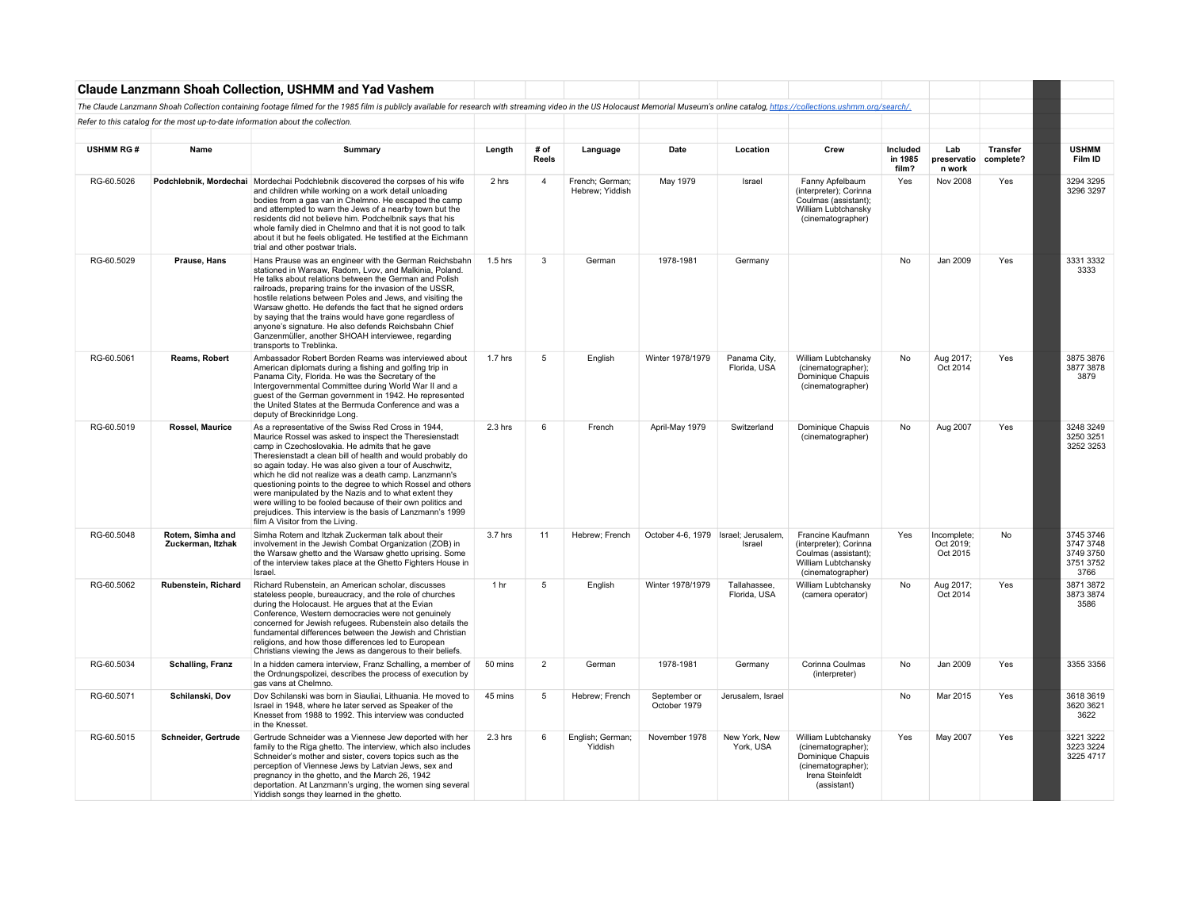|                  |                                                                                 | Claude Lanzmann Shoah Collection, USHMM and Yad Vashem                                                                                                                                                                                                                                                                                                                                                                                                                                                                                                                                                                                    |           |                |                                    |                                      |                              |                                                                                                                         |                              |                                      |                              |                                                          |
|------------------|---------------------------------------------------------------------------------|-------------------------------------------------------------------------------------------------------------------------------------------------------------------------------------------------------------------------------------------------------------------------------------------------------------------------------------------------------------------------------------------------------------------------------------------------------------------------------------------------------------------------------------------------------------------------------------------------------------------------------------------|-----------|----------------|------------------------------------|--------------------------------------|------------------------------|-------------------------------------------------------------------------------------------------------------------------|------------------------------|--------------------------------------|------------------------------|----------------------------------------------------------|
|                  |                                                                                 | The Claude Lanzmann Shoah Collection containing footage filmed for the 1985 film is publicly available for research with streaming video in the US Holocaust Memorial Museum's online catalog, https://collections.ushmm.org/s                                                                                                                                                                                                                                                                                                                                                                                                            |           |                |                                    |                                      |                              |                                                                                                                         |                              |                                      |                              |                                                          |
|                  | Refer to this catalog for the most up-to-date information about the collection. |                                                                                                                                                                                                                                                                                                                                                                                                                                                                                                                                                                                                                                           |           |                |                                    |                                      |                              |                                                                                                                         |                              |                                      |                              |                                                          |
|                  |                                                                                 |                                                                                                                                                                                                                                                                                                                                                                                                                                                                                                                                                                                                                                           |           |                |                                    |                                      |                              |                                                                                                                         |                              |                                      |                              |                                                          |
| <b>USHMM RG#</b> | Name                                                                            | Summary                                                                                                                                                                                                                                                                                                                                                                                                                                                                                                                                                                                                                                   | Length    | # of<br>Reels  | Language                           | Date                                 | Location                     | Crew                                                                                                                    | Included<br>in 1985<br>film? | Lab<br>preservatio<br>n work         | <b>Transfer</b><br>complete? | <b>USHMM</b><br>Film ID                                  |
| RG-60.5026       |                                                                                 | Podchlebnik, Mordechai   Mordechai Podchlebnik discovered the corpses of his wife<br>and children while working on a work detail unloading<br>bodies from a gas van in Chelmno. He escaped the camp<br>and attempted to warn the Jews of a nearby town but the<br>residents did not believe him. Podchelbnik says that his<br>whole family died in Chelmno and that it is not good to talk<br>about it but he feels obligated. He testified at the Eichmann<br>trial and other postwar trials.                                                                                                                                            | 2 hrs     | $\overline{4}$ | French; German;<br>Hebrew; Yiddish | May 1979                             | Israel                       | Fanny Apfelbaum<br>(interpreter); Corinna<br>Coulmas (assistant);<br>William Lubtchansky<br>(cinematographer)           | Yes                          | Nov 2008                             | Yes                          | 3294 3295<br>3296 3297                                   |
| RG-60.5029       | Prause, Hans                                                                    | Hans Prause was an engineer with the German Reichsbahn<br>stationed in Warsaw, Radom, Lvov, and Malkinia, Poland.<br>He talks about relations between the German and Polish<br>railroads, preparing trains for the invasion of the USSR,<br>hostile relations between Poles and Jews, and visiting the<br>Warsaw ghetto. He defends the fact that he signed orders<br>by saying that the trains would have gone regardless of<br>anyone's signature. He also defends Reichsbahn Chief<br>Ganzenmüller, another SHOAH interviewee, regarding<br>transports to Treblinka.                                                                   | 1.5 hrs   | 3              | German                             | 1978-1981                            | Germany                      |                                                                                                                         | No                           | Jan 2009                             | Yes                          | 3331 3332<br>3333                                        |
| RG-60.5061       | Reams, Robert                                                                   | Ambassador Robert Borden Reams was interviewed about<br>American diplomats during a fishing and golfing trip in<br>Panama City, Florida. He was the Secretary of the<br>Intergovernmental Committee during World War II and a<br>guest of the German government in 1942. He represented<br>the United States at the Bermuda Conference and was a<br>deputy of Breckinridge Long.                                                                                                                                                                                                                                                          | $1.7$ hrs | 5              | English                            | Winter 1978/1979                     | Panama City,<br>Florida, USA | William Lubtchansky<br>(cinematographer);<br>Dominique Chapuis<br>(cinematographer)                                     | No                           | Aug 2017;<br>Oct 2014                | Yes                          | 3875 3876<br>3877 3878<br>3879                           |
| RG-60.5019       | Rossel, Maurice                                                                 | As a representative of the Swiss Red Cross in 1944,<br>Maurice Rossel was asked to inspect the Theresienstadt<br>camp in Czechoslovakia. He admits that he gave<br>Theresienstadt a clean bill of health and would probably do<br>so again today. He was also given a tour of Auschwitz,<br>which he did not realize was a death camp. Lanzmann's<br>questioning points to the degree to which Rossel and others<br>were manipulated by the Nazis and to what extent they<br>were willing to be fooled because of their own politics and<br>prejudices. This interview is the basis of Lanzmann's 1999<br>film A Visitor from the Living. | $2.3$ hrs | 6              | French                             | April-May 1979                       | Switzerland                  | Dominique Chapuis<br>(cinematographer)                                                                                  | No                           | Aug 2007                             | Yes                          | 3248 3249<br>3250 3251<br>3252 3253                      |
| RG-60,5048       | Rotem. Simha and<br>Zuckerman, Itzhak                                           | Simha Rotem and Itzhak Zuckerman talk about their<br>involvement in the Jewish Combat Organization (ZOB) in<br>the Warsaw ghetto and the Warsaw ghetto uprising. Some<br>of the interview takes place at the Ghetto Fighters House in<br>Israel.                                                                                                                                                                                                                                                                                                                                                                                          | 3.7 hrs   | 11             | Hebrew: French                     | October 4-6, 1979 Israel: Jerusalem. | Israel                       | Francine Kaufmann<br>(interpreter); Corinna<br>Coulmas (assistant);<br>William Lubtchansky<br>(cinematographer)         | Yes                          | Incomplete:<br>Oct 2019;<br>Oct 2015 | No                           | 3745 3746<br>3747 3748<br>3749 3750<br>3751 3752<br>3766 |
| RG-60.5062       | Rubenstein, Richard                                                             | Richard Rubenstein, an American scholar, discusses<br>stateless people, bureaucracy, and the role of churches<br>during the Holocaust. He argues that at the Evian<br>Conference, Western democracies were not genuinely<br>concerned for Jewish refugees. Rubenstein also details the<br>fundamental differences between the Jewish and Christian<br>religions, and how those differences led to European<br>Christians viewing the Jews as dangerous to their beliefs.                                                                                                                                                                  | 1 hr      | 5              | English                            | Winter 1978/1979                     | Tallahassee,<br>Florida, USA | William Lubtchansky<br>(camera operator)                                                                                | No                           | Aug 2017;<br>Oct 2014                | Yes                          | 3871 3872<br>3873 3874<br>3586                           |
| RG-60.5034       | <b>Schalling, Franz</b>                                                         | In a hidden camera interview, Franz Schalling, a member of<br>the Ordnungspolizei, describes the process of execution by<br>gas vans at Chelmno.                                                                                                                                                                                                                                                                                                                                                                                                                                                                                          | 50 mins   | $\overline{2}$ | German                             | 1978-1981                            | Germany                      | Corinna Coulmas<br>(interpreter)                                                                                        | No                           | Jan 2009                             | Yes                          | 3355 3356                                                |
| RG-60.5071       | Schilanski, Dov                                                                 | Dov Schilanski was born in Siauliai, Lithuania. He moved to<br>Israel in 1948, where he later served as Speaker of the<br>Knesset from 1988 to 1992. This interview was conducted<br>in the Knesset.                                                                                                                                                                                                                                                                                                                                                                                                                                      | 45 mins   | 5              | Hebrew; French                     | September or<br>October 1979         | Jerusalem, Israel            |                                                                                                                         | No                           | Mar 2015                             | Yes                          | 3618 3619<br>3620 3621<br>3622                           |
| RG-60.5015       | Schneider, Gertrude                                                             | Gertrude Schneider was a Viennese Jew deported with her<br>family to the Riga ghetto. The interview, which also includes<br>Schneider's mother and sister, covers topics such as the<br>perception of Viennese Jews by Latvian Jews, sex and<br>pregnancy in the ghetto, and the March 26, 1942<br>deportation. At Lanzmann's urging, the women sing several<br>Yiddish songs they learned in the ghetto.                                                                                                                                                                                                                                 | $2.3$ hrs | 6              | English; German;<br>Yiddish        | November 1978                        | New York, New<br>York, USA   | William Lubtchansky<br>(cinematographer);<br>Dominique Chapuis<br>(cinematographer);<br>Irena Steinfeldt<br>(assistant) | Yes                          | May 2007                             | Yes                          | 3221 3222<br>3223 3224<br>3225 4717                      |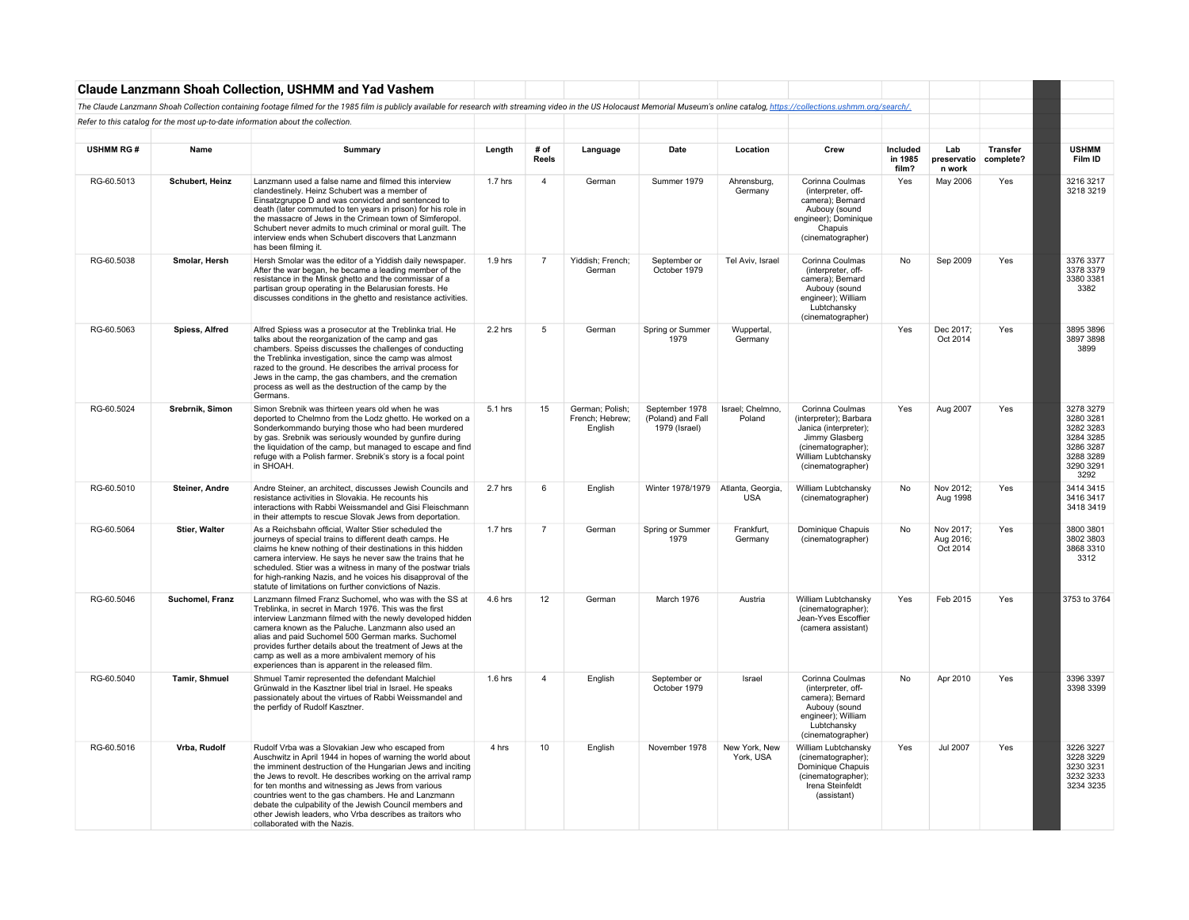|                  |                 | <b>Claude Lanzmann Shoah Collection, USHMM and Yad Vashem</b>                                                                                                                                                                                                                                                                                                                                                                                                                                                       |           |                |                                               |                                                      |                                 |                                                                                                                                                        |                              |                                    |                              |                                                                                                 |
|------------------|-----------------|---------------------------------------------------------------------------------------------------------------------------------------------------------------------------------------------------------------------------------------------------------------------------------------------------------------------------------------------------------------------------------------------------------------------------------------------------------------------------------------------------------------------|-----------|----------------|-----------------------------------------------|------------------------------------------------------|---------------------------------|--------------------------------------------------------------------------------------------------------------------------------------------------------|------------------------------|------------------------------------|------------------------------|-------------------------------------------------------------------------------------------------|
|                  |                 | The Claude Lanzmann Shoah Collection containing footage filmed for the 1985 film is publicly available for research with streaming video in the US Holocaust Memorial Museum's online catalog, https://collections.ushmm.org/s                                                                                                                                                                                                                                                                                      |           |                |                                               |                                                      |                                 |                                                                                                                                                        |                              |                                    |                              |                                                                                                 |
|                  |                 | Refer to this catalog for the most up-to-date information about the collection.                                                                                                                                                                                                                                                                                                                                                                                                                                     |           |                |                                               |                                                      |                                 |                                                                                                                                                        |                              |                                    |                              |                                                                                                 |
| <b>USHMM RG#</b> | Name            | Summary                                                                                                                                                                                                                                                                                                                                                                                                                                                                                                             | Length    | # of<br>Reels  | Language                                      | Date                                                 | Location                        | Crew                                                                                                                                                   | Included<br>in 1985<br>film? | Lab<br>preservatio<br>n work       | <b>Transfer</b><br>complete? | <b>USHMM</b><br>Film ID                                                                         |
| RG-60.5013       | Schubert, Heinz | Lanzmann used a false name and filmed this interview<br>clandestinely. Heinz Schubert was a member of<br>Einsatzgruppe D and was convicted and sentenced to<br>death (later commuted to ten years in prison) for his role in<br>the massacre of Jews in the Crimean town of Simferopol.<br>Schubert never admits to much criminal or moral guilt. The<br>interview ends when Schubert discovers that Lanzmann<br>has been filming it.                                                                               | 1.7 hrs   | $\overline{4}$ | German                                        | Summer 1979                                          | Ahrensburg,<br>Germany          | Corinna Coulmas<br>(interpreter, off-<br>camera); Bernard<br>Aubouy (sound<br>engineer); Dominique<br>Chapuis<br>(cinematographer)                     | Yes                          | May 2006                           | Yes                          | 3216 3217<br>3218 3219                                                                          |
| RG-60.5038       | Smolar, Hersh   | Hersh Smolar was the editor of a Yiddish daily newspaper.<br>After the war began, he became a leading member of the<br>resistance in the Minsk ghetto and the commissar of a<br>partisan group operating in the Belarusian forests. He<br>discusses conditions in the ghetto and resistance activities.                                                                                                                                                                                                             | $1.9$ hrs | $\overline{7}$ | Yiddish; French;<br>German                    | September or<br>October 1979                         | Tel Aviv, Israel                | Corinna Coulmas<br>(interpreter, off-<br>camera); Bernard<br>Aubouy (sound<br>engineer); William<br>Lubtchansky<br>(cinematographer)                   | No                           | Sep 2009                           | Yes                          | 3376 3377<br>3378 3379<br>3380 3381<br>3382                                                     |
| RG-60.5063       | Spiess, Alfred  | Alfred Spiess was a prosecutor at the Treblinka trial. He<br>talks about the reorganization of the camp and gas<br>chambers. Speiss discusses the challenges of conducting<br>the Treblinka investigation, since the camp was almost<br>razed to the ground. He describes the arrival process for<br>Jews in the camp, the gas chambers, and the cremation<br>process as well as the destruction of the camp by the<br>Germans.                                                                                     | 2.2 hrs   | 5              | German                                        | Spring or Summer<br>1979                             | Wuppertal,<br>Germany           |                                                                                                                                                        | Yes                          | Dec 2017:<br>Oct 2014              | Yes                          | 3895 3896<br>3897 3898<br>3899                                                                  |
| RG-60.5024       | Srebrnik, Simon | Simon Srebnik was thirteen years old when he was<br>deported to Chelmno from the Lodz ghetto. He worked on a<br>Sonderkommando burying those who had been murdered<br>by gas. Srebnik was seriously wounded by gunfire during<br>the liquidation of the camp, but managed to escape and find<br>refuge with a Polish farmer. Srebnik's story is a focal point<br>in SHOAH.                                                                                                                                          | 5.1 hrs   | 15             | German; Polish;<br>French; Hebrew;<br>English | September 1978<br>(Poland) and Fall<br>1979 (Israel) | Israel; Chelmno,<br>Poland      | Corinna Coulmas<br>(interpreter); Barbara<br>Janica (interpreter);<br>Jimmy Glasberg<br>(cinematographer);<br>William Lubtchansky<br>(cinematographer) | Yes                          | Aug 2007                           | Yes                          | 3278 3279<br>3280 3281<br>3282 3283<br>3284 3285<br>3286 3287<br>3288 3289<br>3290 3291<br>3292 |
| RG-60.5010       | Steiner, Andre  | Andre Steiner, an architect, discusses Jewish Councils and<br>resistance activities in Slovakia. He recounts his<br>interactions with Rabbi Weissmandel and Gisi Fleischmann<br>in their attempts to rescue Slovak Jews from deportation.                                                                                                                                                                                                                                                                           | 2.7 hrs   | 6              | English                                       | Winter 1978/1979                                     | Atlanta, Georgia,<br><b>USA</b> | William Lubtchansky<br>(cinematographer)                                                                                                               | No                           | Nov 2012;<br>Aug 1998              | Yes                          | 3414 3415<br>3416 3417<br>3418 3419                                                             |
| RG-60.5064       | Stier, Walter   | As a Reichsbahn official, Walter Stier scheduled the<br>journeys of special trains to different death camps. He<br>claims he knew nothing of their destinations in this hidden<br>camera interview. He says he never saw the trains that he<br>scheduled. Stier was a witness in many of the postwar trials<br>for high-ranking Nazis, and he voices his disapproval of the<br>statute of limitations on further convictions of Nazis.                                                                              | 1.7 hrs   | $\overline{7}$ | German                                        | Spring or Summer<br>1979                             | Frankfurt,<br>Germany           | Dominique Chapuis<br>(cinematographer)                                                                                                                 | No                           | Nov 2017;<br>Aug 2016;<br>Oct 2014 | Yes                          | 3800 3801<br>3802 3803<br>3868 3310<br>3312                                                     |
| RG-60.5046       | Suchomel, Franz | Lanzmann filmed Franz Suchomel, who was with the SS at<br>Treblinka, in secret in March 1976. This was the first<br>interview Lanzmann filmed with the newly developed hidden<br>camera known as the Paluche. Lanzmann also used an<br>alias and paid Suchomel 500 German marks. Suchomel<br>provides further details about the treatment of Jews at the<br>camp as well as a more ambivalent memory of his<br>experiences than is apparent in the released film.                                                   | 4.6 hrs   | 12             | German                                        | March 1976                                           | Austria                         | William Lubtchansky<br>(cinematographer);<br>Jean-Yves Escoffier<br>(camera assistant)                                                                 | Yes                          | Feb 2015                           | Yes                          | 3753 to 3764                                                                                    |
| RG-60.5040       | Tamir, Shmuel   | Shmuel Tamir represented the defendant Malchiel<br>Grünwald in the Kasztner libel trial in Israel. He speaks<br>passionately about the virtues of Rabbi Weissmandel and<br>the perfidy of Rudolf Kasztner.                                                                                                                                                                                                                                                                                                          | $1.6$ hrs | $\overline{4}$ | English                                       | September or<br>October 1979                         | Israel                          | Corinna Coulmas<br>(interpreter, off-<br>camera); Bernard<br>Aubouy (sound<br>engineer); William<br>Lubtchansky<br>(cinematographer)                   | No                           | Apr 2010                           | Yes                          | 3396 3397<br>3398 3399                                                                          |
| RG-60.5016       | Vrba, Rudolf    | Rudolf Vrba was a Slovakian Jew who escaped from<br>Auschwitz in April 1944 in hopes of warning the world about<br>the imminent destruction of the Hungarian Jews and inciting<br>the Jews to revolt. He describes working on the arrival ramp<br>for ten months and witnessing as Jews from various<br>countries went to the gas chambers. He and Lanzmann<br>debate the culpability of the Jewish Council members and<br>other Jewish leaders, who Vrba describes as traitors who<br>collaborated with the Nazis. | 4 hrs     | 10             | English                                       | November 1978                                        | New York, New<br>York, USA      | William Lubtchansky<br>(cinematographer);<br>Dominique Chapuis<br>(cinematographer);<br>Irena Steinfeldt<br>(assistant)                                | Yes                          | <b>Jul 2007</b>                    | Yes                          | 3226 3227<br>3228 3229<br>3230 3231<br>3232 3233<br>3234 3235                                   |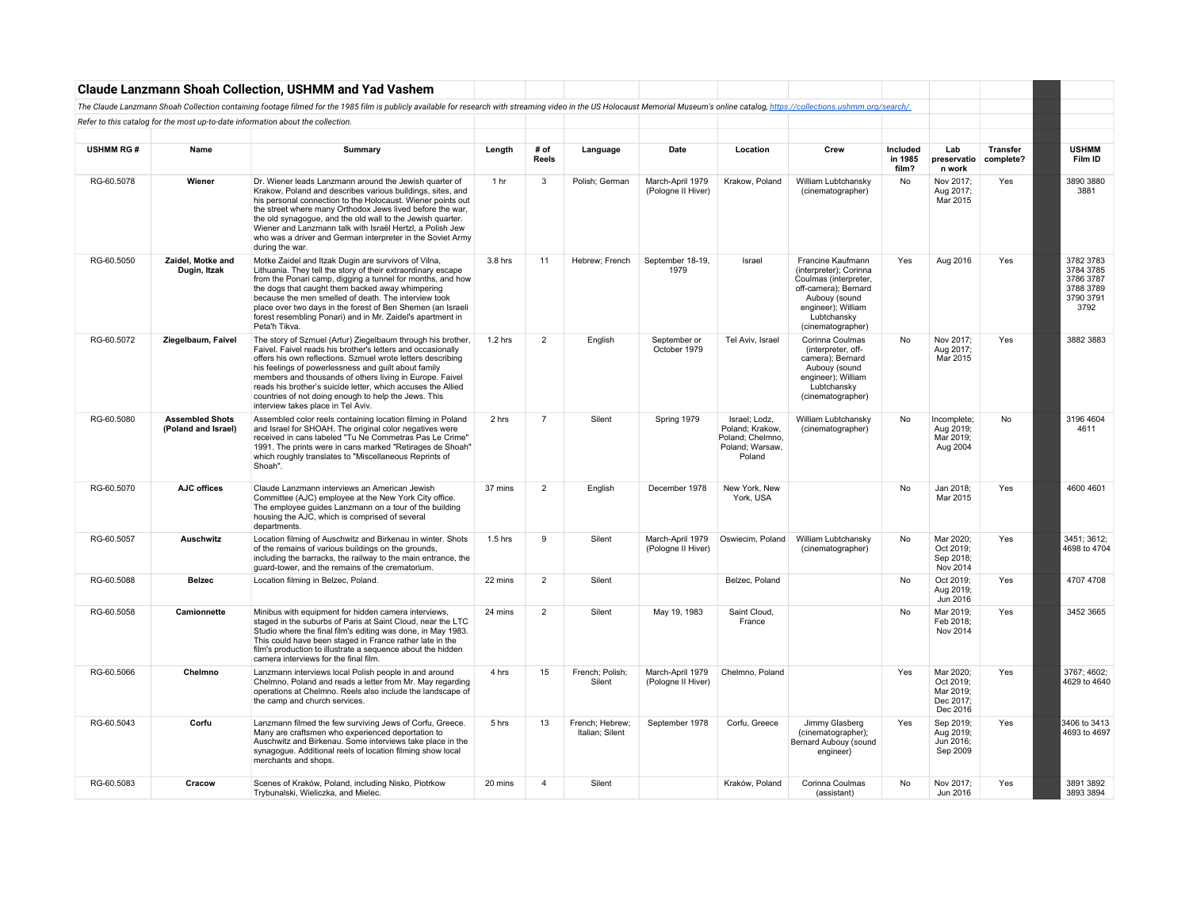|                  |                                               | <b>Claude Lanzmann Shoah Collection, USHMM and Yad Vashem</b>                                                                                                                                                                                                                                                                                                                                                                                                               |           |                |                                    |                                        |                                                                                   |                                                                                                                                                                         |                              |                                                              |                       |                                                                       |
|------------------|-----------------------------------------------|-----------------------------------------------------------------------------------------------------------------------------------------------------------------------------------------------------------------------------------------------------------------------------------------------------------------------------------------------------------------------------------------------------------------------------------------------------------------------------|-----------|----------------|------------------------------------|----------------------------------------|-----------------------------------------------------------------------------------|-------------------------------------------------------------------------------------------------------------------------------------------------------------------------|------------------------------|--------------------------------------------------------------|-----------------------|-----------------------------------------------------------------------|
|                  |                                               | The Claude Lanzmann Shoah Collection containing footage filmed for the 1985 film is publicly available for research with streaming video in the US Holocaust Memorial Museum's online catalog, https://collections.ushmm.org/s                                                                                                                                                                                                                                              |           |                |                                    |                                        |                                                                                   |                                                                                                                                                                         |                              |                                                              |                       |                                                                       |
|                  |                                               | Refer to this catalog for the most up-to-date information about the collection.                                                                                                                                                                                                                                                                                                                                                                                             |           |                |                                    |                                        |                                                                                   |                                                                                                                                                                         |                              |                                                              |                       |                                                                       |
|                  |                                               |                                                                                                                                                                                                                                                                                                                                                                                                                                                                             |           |                |                                    |                                        |                                                                                   |                                                                                                                                                                         |                              |                                                              |                       |                                                                       |
| <b>USHMM RG#</b> | Name                                          | Summary                                                                                                                                                                                                                                                                                                                                                                                                                                                                     | Length    | # of<br>Reels  | Language                           | Date                                   | Location                                                                          | Crew                                                                                                                                                                    | Included<br>in 1985<br>film? | Lab<br>preservatio<br>n work                                 | Transfer<br>complete? | <b>USHMM</b><br>Film ID                                               |
| RG-60.5078       | Wiener                                        | Dr. Wiener leads Lanzmann around the Jewish quarter of<br>Krakow, Poland and describes various buildings, sites, and<br>his personal connection to the Holocaust. Wiener points out<br>the street where many Orthodox Jews lived before the war,<br>the old synagogue, and the old wall to the Jewish quarter.<br>Wiener and Lanzmann talk with Israël Hertzl, a Polish Jew<br>who was a driver and German interpreter in the Soviet Army<br>during the war.                | 1 hr      | -3             | Polish; German                     | March-April 1979<br>(Pologne II Hiver) | Krakow, Poland                                                                    | William Lubtchansky<br>(cinematographer)                                                                                                                                | No                           | Nov 2017;<br>Aug 2017;<br>Mar 2015                           | Yes                   | 3890 3880<br>3881                                                     |
| RG-60.5050       | Zaidel, Motke and<br>Dugin, Itzak             | Motke Zaidel and Itzak Dugin are survivors of Vilna,<br>Lithuania. They tell the story of their extraordinary escape<br>from the Ponari camp, digging a tunnel for months, and how<br>the dogs that caught them backed away whimpering<br>because the men smelled of death. The interview took<br>place over two days in the forest of Ben Shemen (an Israeli<br>forest resembling Ponari) and in Mr. Zaidel's apartment in<br>Peta'h Tikva.                                | 3.8 hrs   | 11             | Hebrew; French                     | September 18-19,<br>1979               | Israel                                                                            | Francine Kaufmann<br>(interpreter); Corinna<br>Coulmas (interpreter,<br>off-camera); Bernard<br>Aubouy (sound<br>engineer); William<br>Lubtchansky<br>(cinematographer) | Yes                          | Aug 2016                                                     | Yes                   | 3782 3783<br>3784 3785<br>3786 3787<br>3788 3789<br>3790 3791<br>3792 |
| RG-60.5072       | Ziegelbaum, Faivel                            | The story of Szmuel (Artur) Ziegelbaum through his brother,<br>Faivel. Faivel reads his brother's letters and occasionally<br>offers his own reflections. Szmuel wrote letters describing<br>his feelings of powerlessness and quilt about family<br>members and thousands of others living in Europe. Faivel<br>reads his brother's suicide letter, which accuses the Allied<br>countries of not doing enough to help the Jews. This<br>interview takes place in Tel Aviv. | $1.2$ hrs | $\overline{2}$ | English                            | September or<br>October 1979           | Tel Aviv, Israel                                                                  | Corinna Coulmas<br>(interpreter, off-<br>camera); Bernard<br>Aubouy (sound<br>engineer); William<br>Lubtchansky<br>(cinematographer)                                    | No                           | Nov 2017;<br>Aug 2017;<br>Mar 2015                           | Yes                   | 3882 3883                                                             |
| RG-60.5080       | <b>Assembled Shots</b><br>(Poland and Israel) | Assembled color reels containing location filming in Poland<br>and Israel for SHOAH. The original color negatives were<br>received in cans labeled "Tu Ne Commetras Pas Le Crime"<br>1991. The prints were in cans marked "Retirages de Shoah"<br>which roughly translates to "Miscellaneous Reprints of<br>Shoah".                                                                                                                                                         | 2 hrs     | $\overline{7}$ | Silent                             | Spring 1979                            | Israel; Lodz,<br>Poland; Krakow,<br>Poland; Chelmno,<br>Poland; Warsaw,<br>Poland | William Lubtchansky<br>(cinematographer)                                                                                                                                | No                           | Incomplete;<br>Aug 2019;<br>Mar 2019;<br>Aug 2004            | No                    | 3196 4604<br>4611                                                     |
| RG-60.5070       | AJC offices                                   | Claude Lanzmann interviews an American Jewish<br>Committee (AJC) employee at the New York City office.<br>The employee guides Lanzmann on a tour of the building<br>housing the AJC, which is comprised of several<br>departments.                                                                                                                                                                                                                                          | 37 mins   | $\overline{2}$ | English                            | December 1978                          | New York, New<br>York, USA                                                        |                                                                                                                                                                         | No                           | Jan 2018;<br>Mar 2015                                        | Yes                   | 4600 4601                                                             |
| RG-60.5057       | Auschwitz                                     | Location filming of Auschwitz and Birkenau in winter. Shots<br>of the remains of various buildings on the grounds,<br>including the barracks, the railway to the main entrance, the<br>guard-tower, and the remains of the crematorium.                                                                                                                                                                                                                                     | $1.5$ hrs | 9              | Silent                             | March-April 1979<br>(Pologne II Hiver) | Oswiecim, Poland                                                                  | William Lubtchansky<br>(cinematographer)                                                                                                                                | No                           | Mar 2020;<br>Oct 2019;<br>Sep 2018;<br>Nov 2014              | Yes                   | 3451; 3612;<br>4698 to 4704                                           |
| RG-60.5088       | <b>Belzec</b>                                 | Location filming in Belzec, Poland.                                                                                                                                                                                                                                                                                                                                                                                                                                         | 22 mins   | $\overline{2}$ | Silent                             |                                        | Belzec, Poland                                                                    |                                                                                                                                                                         | No                           | Oct 2019;<br>Aug 2019;<br>Jun 2016                           | Yes                   | 4707 4708                                                             |
| RG-60.5058       | Camionnette                                   | Minibus with equipment for hidden camera interviews,<br>staged in the suburbs of Paris at Saint Cloud, near the LTC<br>Studio where the final film's editing was done, in May 1983.<br>This could have been staged in France rather late in the<br>film's production to illustrate a sequence about the hidden<br>camera interviews for the final film.                                                                                                                     | 24 mins   | $\overline{2}$ | Silent                             | May 19, 1983                           | Saint Cloud.<br>France                                                            |                                                                                                                                                                         | No                           | Mar 2019:<br>Feb 2018;<br>Nov 2014                           | Yes                   | 3452 3665                                                             |
| RG-60.5066       | Chelmno                                       | Lanzmann interviews local Polish people in and around<br>Chelmno, Poland and reads a letter from Mr. May regarding<br>operations at Chelmno. Reels also include the landscape of<br>the camp and church services.                                                                                                                                                                                                                                                           | 4 hrs     | 15             | French; Polish;<br>Silent          | March-April 1979<br>(Pologne II Hiver) | Chelmno, Poland                                                                   |                                                                                                                                                                         | Yes                          | Mar 2020;<br>Oct 2019;<br>Mar 2019;<br>Dec 2017;<br>Dec 2016 | Yes                   | 3767: 4602:<br>4629 to 4640                                           |
| RG-60.5043       | Corfu                                         | Lanzmann filmed the few surviving Jews of Corfu, Greece.<br>Many are craftsmen who experienced deportation to<br>Auschwitz and Birkenau. Some interviews take place in the<br>synagogue. Additional reels of location filming show local<br>merchants and shops.                                                                                                                                                                                                            | 5 hrs     | 13             | French: Hebrew:<br>Italian: Silent | September 1978                         | Corfu, Greece                                                                     | Jimmy Glasberg<br>(cinematographer);<br>Bernard Aubouy (sound<br>engineer)                                                                                              | Yes                          | Sep 2019:<br>Aug 2019;<br>Jun 2016;<br>Sep 2009              | Yes                   | 3406 to 3413<br>4693 to 4697                                          |
| RG-60.5083       | Cracow                                        | Scenes of Kraków, Poland, including Nisko, Piotrkow<br>Trybunalski, Wieliczka, and Mielec.                                                                                                                                                                                                                                                                                                                                                                                  | 20 mins   | $\overline{a}$ | Silent                             |                                        | Kraków, Poland                                                                    | Corinna Coulmas<br>(assistant)                                                                                                                                          | No                           | Nov 2017;<br>Jun 2016                                        | Yes                   | 3891 3892<br>3893 3894                                                |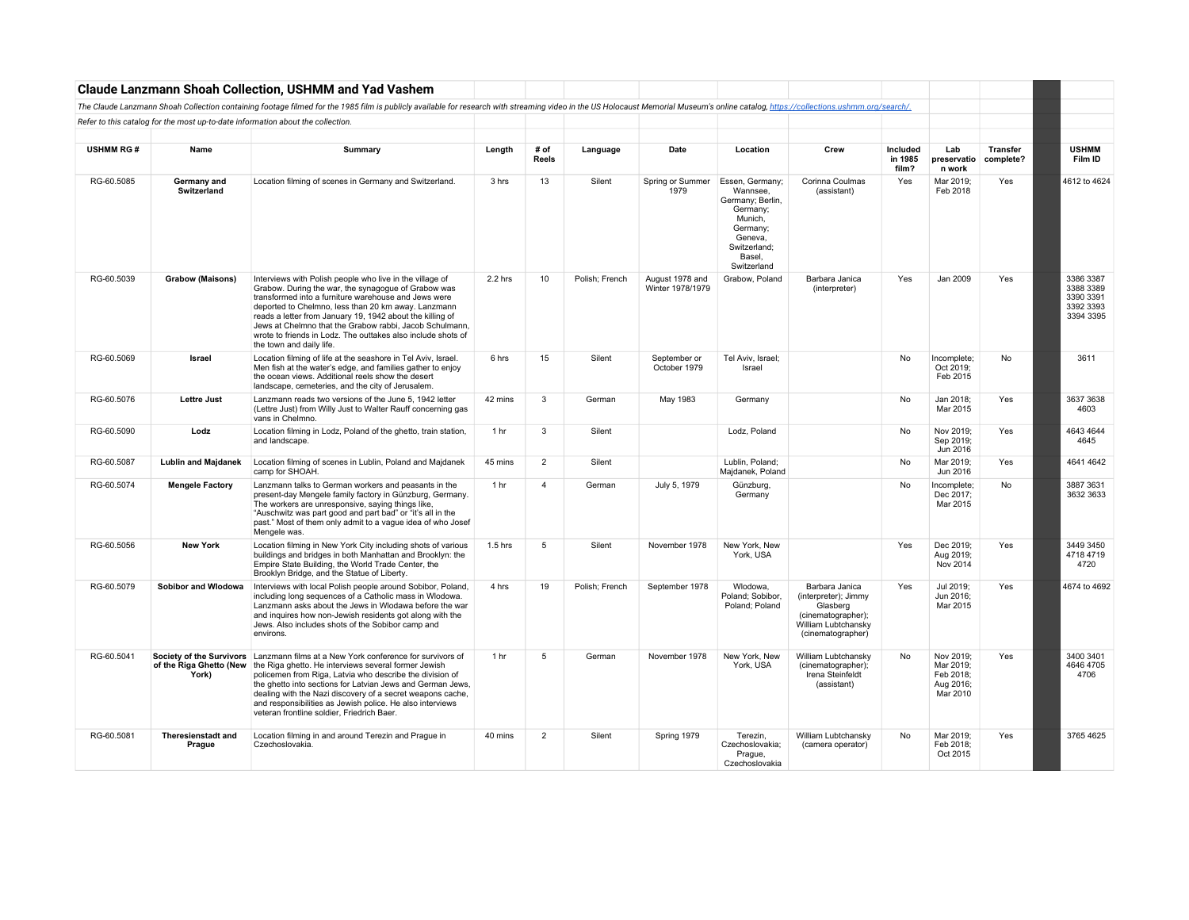|                  |                                     | <b>Claude Lanzmann Shoah Collection, USHMM and Yad Vashem</b>                                                                                                                                                                                                                                                                                                                                                                                      |                 |                      |                |                                     |                                                                                                                                        |                                                                                                                      |                              |                                                              |                              |                                                               |
|------------------|-------------------------------------|----------------------------------------------------------------------------------------------------------------------------------------------------------------------------------------------------------------------------------------------------------------------------------------------------------------------------------------------------------------------------------------------------------------------------------------------------|-----------------|----------------------|----------------|-------------------------------------|----------------------------------------------------------------------------------------------------------------------------------------|----------------------------------------------------------------------------------------------------------------------|------------------------------|--------------------------------------------------------------|------------------------------|---------------------------------------------------------------|
|                  |                                     | The Claude Lanzmann Shoah Collection containing footage filmed for the 1985 film is publicly available for research with streaming video in the US Holocaust Memorial Museum's online catalog, https://collections.ushmm.org/s                                                                                                                                                                                                                     |                 |                      |                |                                     |                                                                                                                                        |                                                                                                                      |                              |                                                              |                              |                                                               |
|                  |                                     | Refer to this catalog for the most up-to-date information about the collection.                                                                                                                                                                                                                                                                                                                                                                    |                 |                      |                |                                     |                                                                                                                                        |                                                                                                                      |                              |                                                              |                              |                                                               |
|                  |                                     |                                                                                                                                                                                                                                                                                                                                                                                                                                                    |                 |                      |                |                                     |                                                                                                                                        |                                                                                                                      |                              |                                                              |                              |                                                               |
| <b>USHMM RG#</b> | Name                                | Summary                                                                                                                                                                                                                                                                                                                                                                                                                                            | Length          | # of<br><b>Reels</b> | Language       | Date                                | Location                                                                                                                               | Crew                                                                                                                 | Included<br>in 1985<br>film? | Lab<br>preservatio<br>n work                                 | <b>Transfer</b><br>complete? | <b>USHMM</b><br>Film ID                                       |
| RG-60.5085       | Germany and<br><b>Switzerland</b>   | Location filming of scenes in Germany and Switzerland.                                                                                                                                                                                                                                                                                                                                                                                             | 3 hrs           | 13                   | Silent         | Spring or Summer<br>1979            | Essen, Germany;<br>Wannsee.<br>Germany; Berlin,<br>Germany;<br>Munich,<br>Germany;<br>Geneva,<br>Switzerland;<br>Basel,<br>Switzerland | Corinna Coulmas<br>(assistant)                                                                                       | Yes                          | Mar 2019;<br>Feb 2018                                        | Yes                          | 4612 to 4624                                                  |
| RG-60.5039       | Grabow (Maisons)                    | Interviews with Polish people who live in the village of<br>Grabow. During the war, the synagogue of Grabow was<br>transformed into a furniture warehouse and Jews were<br>deported to Chelmno, less than 20 km away. Lanzmann<br>reads a letter from January 19, 1942 about the killing of<br>Jews at Chelmno that the Grabow rabbi, Jacob Schulmann,<br>wrote to friends in Lodz. The outtakes also include shots of<br>the town and daily life. | $2.2$ hrs       | 10                   | Polish: French | August 1978 and<br>Winter 1978/1979 | Grabow, Poland                                                                                                                         | Barbara Janica<br>(interpreter)                                                                                      | Yes                          | Jan 2009                                                     | Yes                          | 3386 3387<br>3388 3389<br>3390 3391<br>3392 3393<br>3394 3395 |
| RG-60.5069       | Israel                              | Location filming of life at the seashore in Tel Aviv, Israel.<br>Men fish at the water's edge, and families gather to enjoy<br>the ocean views. Additional reels show the desert<br>landscape, cemeteries, and the city of Jerusalem.                                                                                                                                                                                                              | 6 hrs           | 15                   | Silent         | September or<br>October 1979        | Tel Aviv, Israel;<br>Israel                                                                                                            |                                                                                                                      | <b>No</b>                    | Incomplete;<br>Oct 2019;<br>Feb 2015                         | <b>No</b>                    | 3611                                                          |
| RG-60.5076       | <b>Lettre Just</b>                  | Lanzmann reads two versions of the June 5, 1942 letter<br>(Lettre Just) from Willy Just to Walter Rauff concerning gas<br>vans in Chelmno.                                                                                                                                                                                                                                                                                                         | 42 mins         | 3                    | German         | May 1983                            | Germany                                                                                                                                |                                                                                                                      | <b>No</b>                    | Jan 2018;<br>Mar 2015                                        | Yes                          | 3637 3638<br>4603                                             |
| RG-60.5090       | Lodz                                | Location filming in Lodz, Poland of the ghetto, train station,<br>and landscape.                                                                                                                                                                                                                                                                                                                                                                   | 1 <sub>hr</sub> | 3                    | Silent         |                                     | Lodz. Poland                                                                                                                           |                                                                                                                      | <b>No</b>                    | Nov 2019:<br>Sep 2019;<br>Jun 2016                           | Yes                          | 4643 4644<br>4645                                             |
| RG-60.5087       | <b>Lublin and Majdanek</b>          | Location filming of scenes in Lublin, Poland and Majdanek<br>camp for SHOAH.                                                                                                                                                                                                                                                                                                                                                                       | 45 mins         | $\overline{2}$       | Silent         |                                     | Lublin, Poland;<br>Majdanek, Poland                                                                                                    |                                                                                                                      | No                           | Mar 2019;<br>Jun 2016                                        | Yes                          | 4641 4642                                                     |
| RG-60.5074       | <b>Mengele Factory</b>              | Lanzmann talks to German workers and peasants in the<br>present-day Mengele family factory in Günzburg, Germany.<br>The workers are unresponsive, saying things like,<br>"Auschwitz was part good and part bad" or "it's all in the<br>past." Most of them only admit to a vague idea of who Josef<br>Mengele was.                                                                                                                                 | 1 hr            | $\overline{4}$       | German         | July 5, 1979                        | Günzburg,<br>Germany                                                                                                                   |                                                                                                                      | No                           | Incomplete;<br>Dec 2017;<br>Mar 2015                         | No                           | 3887 3631<br>3632 3633                                        |
| RG-60.5056       | <b>New York</b>                     | Location filming in New York City including shots of various<br>buildings and bridges in both Manhattan and Brooklyn: the<br>Empire State Building, the World Trade Center, the<br>Brooklyn Bridge, and the Statue of Liberty.                                                                                                                                                                                                                     | $1.5$ hrs       | 5                    | Silent         | November 1978                       | New York, New<br>York, USA                                                                                                             |                                                                                                                      | Yes                          | Dec 2019;<br>Aug 2019;<br>Nov 2014                           | Yes                          | 3449 3450<br>4718 4719<br>4720                                |
| RG-60.5079       | Sobibor and Wlodowa                 | Interviews with local Polish people around Sobibor, Poland,<br>including long sequences of a Catholic mass in Wlodowa.<br>Lanzmann asks about the Jews in Wlodawa before the war<br>and inquires how non-Jewish residents got along with the<br>Jews. Also includes shots of the Sobibor camp and<br>environs.                                                                                                                                     | 4 hrs           | 19                   | Polish; French | September 1978                      | Wlodowa,<br>Poland; Sobibor,<br>Poland; Poland                                                                                         | Barbara Janica<br>(interpreter); Jimmy<br>Glasberg<br>(cinematographer);<br>William Lubtchansky<br>(cinematographer) | Yes                          | Jul 2019;<br>Jun 2016:<br>Mar 2015                           | Yes                          | 4674 to 4692                                                  |
| RG-60.5041       | of the Riga Ghetto (New<br>York)    | Society of the Survivors   Lanzmann films at a New York conference for survivors of<br>the Riga ghetto. He interviews several former Jewish<br>policemen from Riga, Latvia who describe the division of<br>the ghetto into sections for Latvian Jews and German Jews,<br>dealing with the Nazi discovery of a secret weapons cache,<br>and responsibilities as Jewish police. He also interviews<br>veteran frontline soldier, Friedrich Baer.     | 1 hr            | 5                    | German         | November 1978                       | New York, New<br>York, USA                                                                                                             | William Lubtchansky<br>(cinematographer);<br>Irena Steinfeldt<br>(assistant)                                         | No                           | Nov 2019;<br>Mar 2019;<br>Feb 2018;<br>Aug 2016;<br>Mar 2010 | Yes                          | 3400 3401<br>4646 4705<br>4706                                |
| RG-60.5081       | <b>Theresienstadt and</b><br>Prague | Location filming in and around Terezin and Prague in<br>Czechoslovakia.                                                                                                                                                                                                                                                                                                                                                                            | 40 mins         | $\overline{2}$       | Silent         | Spring 1979                         | Terezin.<br>Czechoslovakia;<br>Prague,<br>Czechoslovakia                                                                               | William Lubtchansky<br>(camera operator)                                                                             | No                           | Mar 2019:<br>Feb 2018;<br>Oct 2015                           | Yes                          | 3765 4625                                                     |